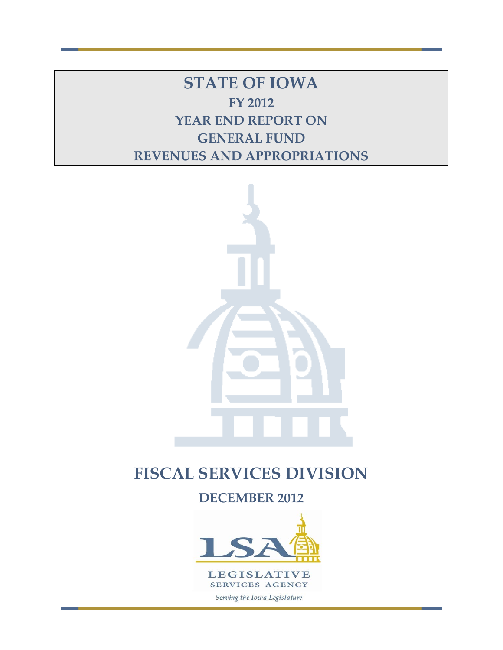**STATE OF IOWA FY 2012 YEAR END REPORT ON GENERAL FUND REVENUES AND APPROPRIATIONS**



# **FISCAL SERVICES DIVISION**

**DECEMBER 2012**

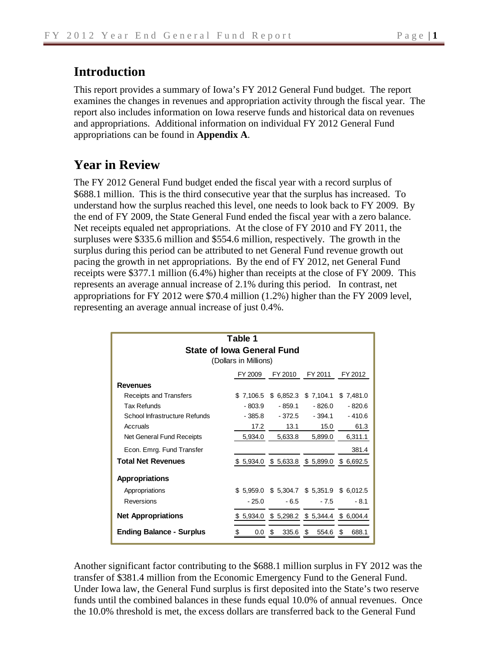# **Introduction**

This report provides a summary of Iowa's FY 2012 General Fund budget. The report examines the changes in revenues and appropriation activity through the fiscal year. The report also includes information on Iowa reserve funds and historical data on revenues and appropriations. Additional information on individual FY 2012 General Fund appropriations can be found in **Appendix A**.

# **Year in Review**

The FY 2012 General Fund budget ended the fiscal year with a record surplus of \$688.1 million. This is the third consecutive year that the surplus has increased. To understand how the surplus reached this level, one needs to look back to FY 2009. By the end of FY 2009, the State General Fund ended the fiscal year with a zero balance. Net receipts equaled net appropriations. At the close of FY 2010 and FY 2011, the surpluses were \$335.6 million and \$554.6 million, respectively. The growth in the surplus during this period can be attributed to net General Fund revenue growth out pacing the growth in net appropriations. By the end of FY 2012, net General Fund receipts were \$377.1 million (6.4%) higher than receipts at the close of FY 2009. This represents an average annual increase of 2.1% during this period. In contrast, net appropriations for FY 2012 were \$70.4 million (1.2%) higher than the FY 2009 level, representing an average annual increase of just 0.4%.

| Table 1<br><b>State of Iowa General Fund</b><br>(Dollars in Millions) |                   |                       |                                             |            |  |  |  |  |  |  |
|-----------------------------------------------------------------------|-------------------|-----------------------|---------------------------------------------|------------|--|--|--|--|--|--|
|                                                                       | FY 2009           | FY 2010               | FY 2011                                     | FY 2012    |  |  |  |  |  |  |
| <b>Revenues</b>                                                       |                   |                       |                                             |            |  |  |  |  |  |  |
| Receipts and Transfers                                                |                   | $$7,106.5$ $$6,852.3$ | \$7,104.1                                   | \$7,481.0  |  |  |  |  |  |  |
| Tax Refunds                                                           | - 803.9           | - 859.1               | - 826.0                                     | $-820.6$   |  |  |  |  |  |  |
| School Infrastructure Refunds                                         | - 385.8           | $-372.5$              | $-394.1$                                    | $-410.6$   |  |  |  |  |  |  |
| Accruals                                                              | 17.2              | 13.1                  | 15.0                                        | 61.3       |  |  |  |  |  |  |
| Net General Fund Receipts                                             | 5.934.0           | 5,633.8               | 5.899.0                                     | 6,311.1    |  |  |  |  |  |  |
| Econ. Emrg. Fund Transfer                                             |                   |                       |                                             | 381.4      |  |  |  |  |  |  |
| <b>Total Net Revenues</b>                                             |                   |                       | $$5,934.0$ $$5,633.8$ $$5,899.0$ $$6,692.5$ |            |  |  |  |  |  |  |
| <b>Appropriations</b>                                                 |                   |                       |                                             |            |  |  |  |  |  |  |
| Appropriations                                                        |                   |                       | $$5,959.0$ $$5,304.7$ $$5,351.9$ $$6,012.5$ |            |  |  |  |  |  |  |
| Reversions                                                            | $-25.0$           | $-6.5$                | $-7.5$                                      | $-8.1$     |  |  |  |  |  |  |
| <b>Net Appropriations</b>                                             |                   |                       | $$5,934.0$ $$5,298.2$ $$5,344.4$ $$6,004.4$ |            |  |  |  |  |  |  |
| <b>Ending Balance - Surplus</b>                                       | \$<br>$0.0 \,$ \$ | $335.6$ \$            | 554.6                                       | 688.1<br>S |  |  |  |  |  |  |

Another significant factor contributing to the \$688.1 million surplus in FY 2012 was the transfer of \$381.4 million from the Economic Emergency Fund to the General Fund. Under Iowa law, the General Fund surplus is first deposited into the State's two reserve funds until the combined balances in these funds equal 10.0% of annual revenues. Once the 10.0% threshold is met, the excess dollars are transferred back to the General Fund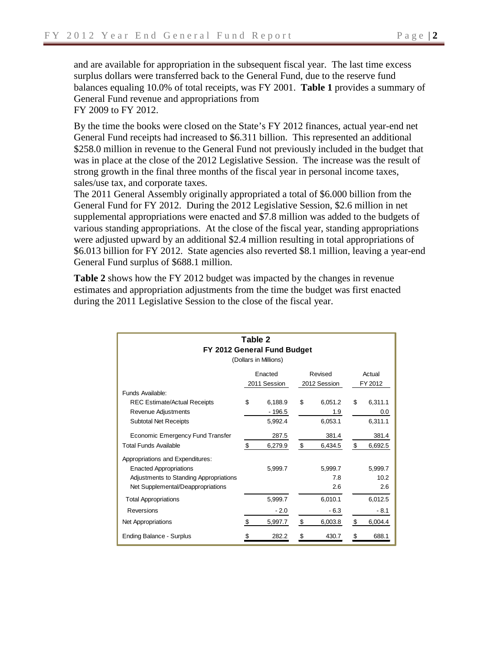and are available for appropriation in the subsequent fiscal year. The last time excess surplus dollars were transferred back to the General Fund, due to the reserve fund balances equaling 10.0% of total receipts, was FY 2001. **Table 1** provides a summary of General Fund revenue and appropriations from FY 2009 to FY 2012.

By the time the books were closed on the State's FY 2012 finances, actual year-end net General Fund receipts had increased to \$6.311 billion. This represented an additional \$258.0 million in revenue to the General Fund not previously included in the budget that was in place at the close of the 2012 Legislative Session. The increase was the result of strong growth in the final three months of the fiscal year in personal income taxes, sales/use tax, and corporate taxes.

The 2011 General Assembly originally appropriated a total of \$6.000 billion from the General Fund for FY 2012. During the 2012 Legislative Session, \$2.6 million in net supplemental appropriations were enacted and \$7.8 million was added to the budgets of various standing appropriations. At the close of the fiscal year, standing appropriations were adjusted upward by an additional \$2.4 million resulting in total appropriations of \$6.013 billion for FY 2012. State agencies also reverted \$8.1 million, leaving a year-end General Fund surplus of \$688.1 million.

**Table 2** shows how the FY 2012 budget was impacted by the changes in revenue estimates and appropriation adjustments from the time the budget was first enacted during the 2011 Legislative Session to the close of the fiscal year.

| Table 2<br>FY 2012 General Fund Budget<br>(Dollars in Millions)                                                                                  |    |                               |    |                           |    |                           |  |  |  |  |  |
|--------------------------------------------------------------------------------------------------------------------------------------------------|----|-------------------------------|----|---------------------------|----|---------------------------|--|--|--|--|--|
|                                                                                                                                                  |    | Actual                        |    |                           |    |                           |  |  |  |  |  |
| Funds Available:                                                                                                                                 |    | 2011 Session                  |    | 2012 Session              |    | FY 2012                   |  |  |  |  |  |
| <b>REC Estimate/Actual Receipts</b><br>Revenue Adjustments<br><b>Subtotal Net Receipts</b>                                                       | \$ | 6,188.9<br>- 196.5<br>5,992.4 | \$ | 6,051.2<br>1.9<br>6,053.1 | \$ | 6,311.1<br>0.0<br>6,311.1 |  |  |  |  |  |
| Economic Emergency Fund Transfer<br><b>Total Funds Available</b>                                                                                 | \$ | 287.5<br>6,279.9              | \$ | 381.4<br>6,434.5          | \$ | 381.4<br>6,692.5          |  |  |  |  |  |
| Appropriations and Expenditures:<br><b>Enacted Appropriations</b><br>Adjustments to Standing Appropriations<br>Net Supplemental/Deappropriations |    | 5.999.7                       |    | 5.999.7<br>7.8<br>2.6     |    | 5,999.7<br>10.2<br>2.6    |  |  |  |  |  |
| <b>Total Appropriations</b>                                                                                                                      |    | 5,999.7                       |    | 6,010.1                   |    | 6,012.5                   |  |  |  |  |  |
| Reversions                                                                                                                                       |    | $-2.0$                        |    | $-6.3$                    |    | $-8.1$                    |  |  |  |  |  |
| <b>Net Appropriations</b>                                                                                                                        | \$ | 5,997.7                       | \$ | 6,003.8                   | \$ | 6,004.4                   |  |  |  |  |  |
| <b>Ending Balance - Surplus</b>                                                                                                                  |    | 282.2                         | \$ | 430.7                     | \$ | 688.1                     |  |  |  |  |  |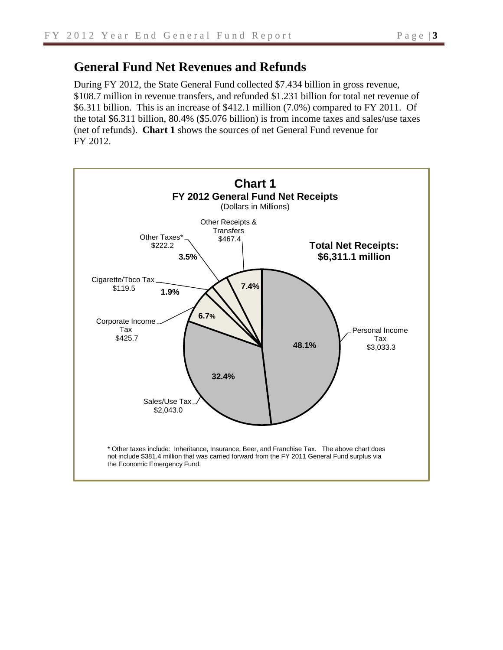## **General Fund Net Revenues and Refunds**

During FY 2012, the State General Fund collected \$7.434 billion in gross revenue, \$108.7 million in revenue transfers, and refunded \$1.231 billion for total net revenue of \$6.311 billion. This is an increase of \$412.1 million (7.0%) compared to FY 2011. Of the total \$6.311 billion, 80.4% (\$5.076 billion) is from income taxes and sales/use taxes (net of refunds). **Chart 1** shows the sources of net General Fund revenue for FY 2012.

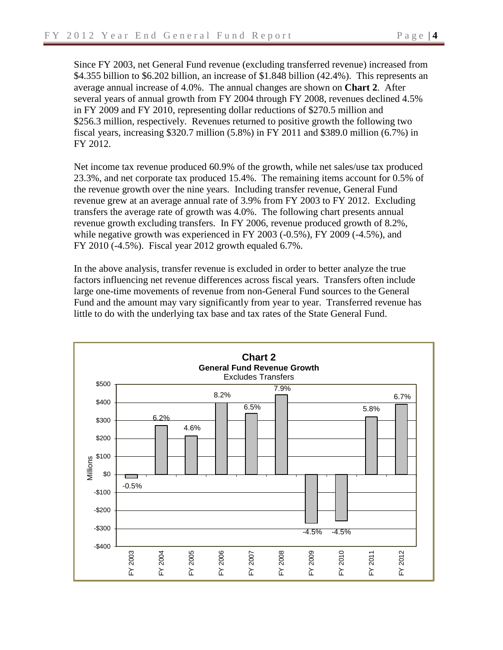Since FY 2003, net General Fund revenue (excluding transferred revenue) increased from \$4.355 billion to \$6.202 billion, an increase of \$1.848 billion (42.4%). This represents an average annual increase of 4.0%. The annual changes are shown on **Chart 2**. After several years of annual growth from FY 2004 through FY 2008, revenues declined 4.5% in FY 2009 and FY 2010, representing dollar reductions of \$270.5 million and \$256.3 million, respectively. Revenues returned to positive growth the following two fiscal years, increasing \$320.7 million (5.8%) in FY 2011 and \$389.0 million (6.7%) in FY 2012.

Net income tax revenue produced 60.9% of the growth, while net sales/use tax produced 23.3%, and net corporate tax produced 15.4%. The remaining items account for 0.5% of the revenue growth over the nine years. Including transfer revenue, General Fund revenue grew at an average annual rate of 3.9% from FY 2003 to FY 2012. Excluding transfers the average rate of growth was 4.0%. The following chart presents annual revenue growth excluding transfers. In FY 2006, revenue produced growth of 8.2%, while negative growth was experienced in FY 2003 (-0.5%), FY 2009 (-4.5%), and FY 2010 (-4.5%). Fiscal year 2012 growth equaled 6.7%.

In the above analysis, transfer revenue is excluded in order to better analyze the true factors influencing net revenue differences across fiscal years. Transfers often include large one-time movements of revenue from non-General Fund sources to the General Fund and the amount may vary significantly from year to year. Transferred revenue has little to do with the underlying tax base and tax rates of the State General Fund.

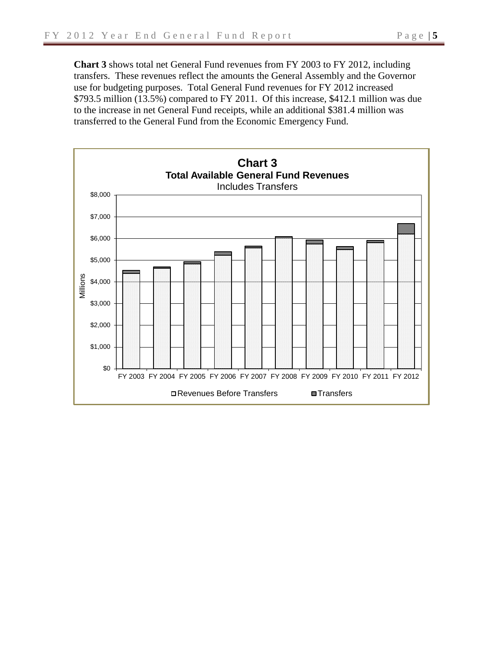**Chart 3** shows total net General Fund revenues from FY 2003 to FY 2012, including transfers. These revenues reflect the amounts the General Assembly and the Governor use for budgeting purposes. Total General Fund revenues for FY 2012 increased \$793.5 million (13.5%) compared to FY 2011. Of this increase, \$412.1 million was due to the increase in net General Fund receipts, while an additional \$381.4 million was transferred to the General Fund from the Economic Emergency Fund.

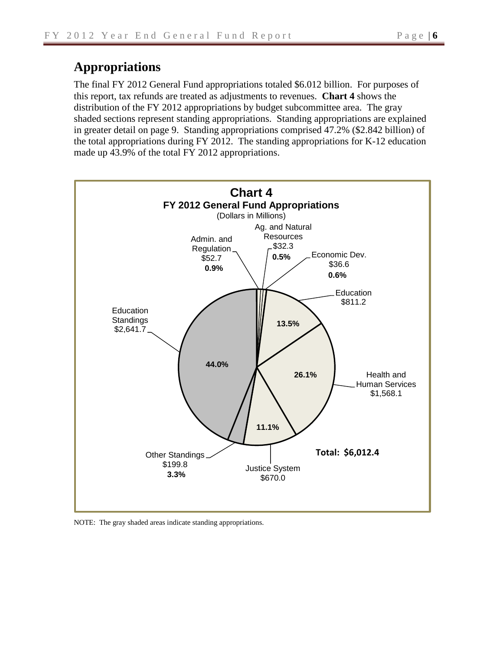# **Appropriations**

The final FY 2012 General Fund appropriations totaled \$6.012 billion. For purposes of this report, tax refunds are treated as adjustments to revenues. **Chart 4** shows the distribution of the FY 2012 appropriations by budget subcommittee area. The gray shaded sections represent standing appropriations. Standing appropriations are explained in greater detail on page 9. Standing appropriations comprised 47.2% (\$2.842 billion) of the total appropriations during FY 2012. The standing appropriations for K-12 education made up 43.9% of the total FY 2012 appropriations.



NOTE: The gray shaded areas indicate standing appropriations.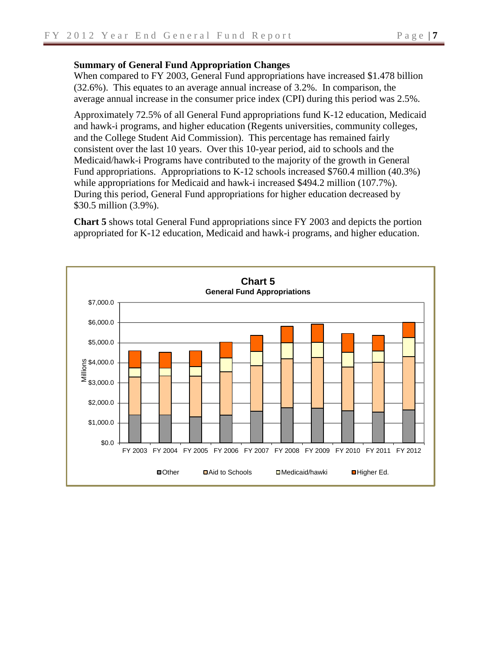### **Summary of General Fund Appropriation Changes**

When compared to FY 2003, General Fund appropriations have increased \$1.478 billion (32.6%). This equates to an average annual increase of 3.2%. In comparison, the average annual increase in the consumer price index (CPI) during this period was 2.5%.

Approximately 72.5% of all General Fund appropriations fund K-12 education, Medicaid and hawk-i programs, and higher education (Regents universities, community colleges, and the College Student Aid Commission). This percentage has remained fairly consistent over the last 10 years. Over this 10-year period, aid to schools and the Medicaid/hawk-i Programs have contributed to the majority of the growth in General Fund appropriations. Appropriations to K-12 schools increased \$760.4 million (40.3%) while appropriations for Medicaid and hawk-i increased \$494.2 million (107.7%). During this period, General Fund appropriations for higher education decreased by \$30.5 million (3.9%).

**Chart 5** shows total General Fund appropriations since FY 2003 and depicts the portion appropriated for K-12 education, Medicaid and hawk-i programs, and higher education.

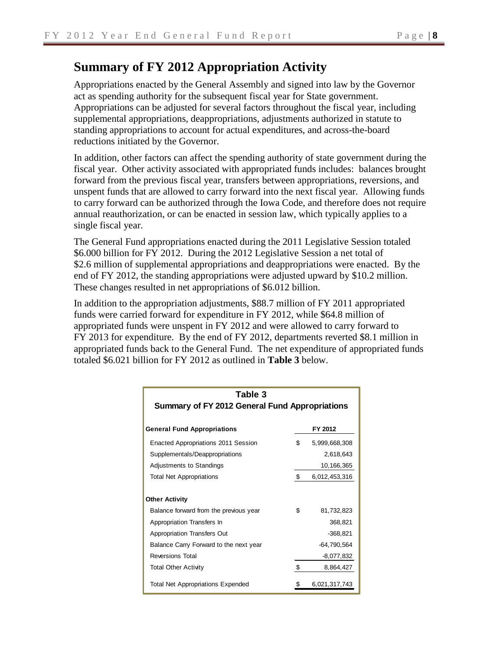# **Summary of FY 2012 Appropriation Activity**

Appropriations enacted by the General Assembly and signed into law by the Governor act as spending authority for the subsequent fiscal year for State government. Appropriations can be adjusted for several factors throughout the fiscal year, including supplemental appropriations, deappropriations, adjustments authorized in statute to standing appropriations to account for actual expenditures, and across-the-board reductions initiated by the Governor.

In addition, other factors can affect the spending authority of state government during the fiscal year. Other activity associated with appropriated funds includes: balances brought forward from the previous fiscal year, transfers between appropriations, reversions, and unspent funds that are allowed to carry forward into the next fiscal year. Allowing funds to carry forward can be authorized through the Iowa Code, and therefore does not require annual reauthorization, or can be enacted in session law, which typically applies to a single fiscal year.

The General Fund appropriations enacted during the 2011 Legislative Session totaled \$6.000 billion for FY 2012. During the 2012 Legislative Session a net total of \$2.6 million of supplemental appropriations and deappropriations were enacted. By the end of FY 2012, the standing appropriations were adjusted upward by \$10.2 million. These changes resulted in net appropriations of \$6.012 billion.

In addition to the appropriation adjustments, \$88.7 million of FY 2011 appropriated funds were carried forward for expenditure in FY 2012, while \$64.8 million of appropriated funds were unspent in FY 2012 and were allowed to carry forward to FY 2013 for expenditure. By the end of FY 2012, departments reverted \$8.1 million in appropriated funds back to the General Fund. The net expenditure of appropriated funds totaled \$6.021 billion for FY 2012 as outlined in **Table 3** below.

| Table 3                                  |                                                       |               |  |  |  |  |  |  |  |
|------------------------------------------|-------------------------------------------------------|---------------|--|--|--|--|--|--|--|
|                                          | <b>Summary of FY 2012 General Fund Appropriations</b> |               |  |  |  |  |  |  |  |
|                                          |                                                       |               |  |  |  |  |  |  |  |
| <b>General Fund Appropriations</b>       |                                                       | FY 2012       |  |  |  |  |  |  |  |
| Enacted Appropriations 2011 Session      | \$                                                    | 5,999,668,308 |  |  |  |  |  |  |  |
| Supplementals/Deappropriations           |                                                       | 2,618,643     |  |  |  |  |  |  |  |
| Adjustments to Standings                 |                                                       | 10,166,365    |  |  |  |  |  |  |  |
| <b>Total Net Appropriations</b>          | \$                                                    | 6,012,453,316 |  |  |  |  |  |  |  |
|                                          |                                                       |               |  |  |  |  |  |  |  |
| <b>Other Activity</b>                    |                                                       |               |  |  |  |  |  |  |  |
| Balance forward from the previous year   | \$                                                    | 81,732,823    |  |  |  |  |  |  |  |
| Appropriation Transfers In               |                                                       | 368,821       |  |  |  |  |  |  |  |
| Appropriation Transfers Out              |                                                       | $-368,821$    |  |  |  |  |  |  |  |
| Balance Carry Forward to the next year   |                                                       | $-64,790,564$ |  |  |  |  |  |  |  |
| <b>Reversions Total</b>                  |                                                       | $-8,077,832$  |  |  |  |  |  |  |  |
| <b>Total Other Activity</b>              | \$                                                    | 8,864,427     |  |  |  |  |  |  |  |
| <b>Total Net Appropriations Expended</b> |                                                       | 6,021,317,743 |  |  |  |  |  |  |  |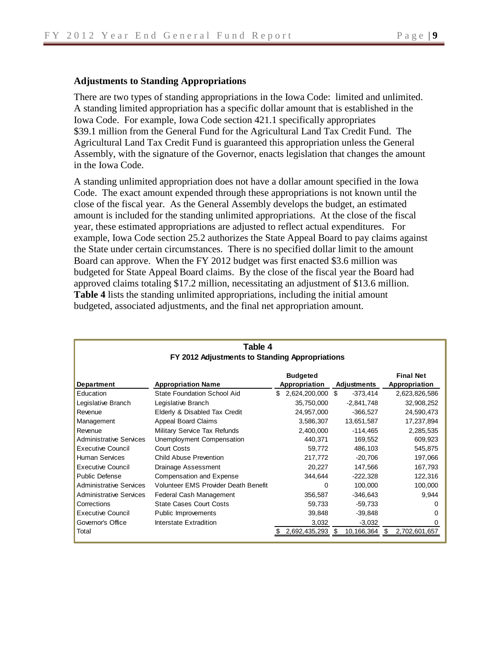### **Adjustments to Standing Appropriations**

There are two types of standing appropriations in the Iowa Code: limited and unlimited. A standing limited appropriation has a specific dollar amount that is established in the Iowa Code. For example, Iowa Code section 421.1 specifically appropriates \$39.1 million from the General Fund for the Agricultural Land Tax Credit Fund. The Agricultural Land Tax Credit Fund is guaranteed this appropriation unless the General Assembly, with the signature of the Governor, enacts legislation that changes the amount in the Iowa Code.

A standing unlimited appropriation does not have a dollar amount specified in the Iowa Code. The exact amount expended through these appropriations is not known until the close of the fiscal year. As the General Assembly develops the budget, an estimated amount is included for the standing unlimited appropriations. At the close of the fiscal year, these estimated appropriations are adjusted to reflect actual expenditures. For example, Iowa Code section 25.2 authorizes the State Appeal Board to pay claims against the State under certain circumstances. There is no specified dollar limit to the amount Board can approve. When the FY 2012 budget was first enacted \$3.6 million was budgeted for State Appeal Board claims. By the close of the fiscal year the Board had approved claims totaling \$17.2 million, necessitating an adjustment of \$13.6 million. **Table 4** lists the standing unlimited appropriations, including the initial amount budgeted, associated adjustments, and the final net appropriation amount.

| Table 4                        |                                                |    |               |    |              |    |               |  |  |  |  |  |  |
|--------------------------------|------------------------------------------------|----|---------------|----|--------------|----|---------------|--|--|--|--|--|--|
|                                | FY 2012 Adjustments to Standing Appropriations |    |               |    |              |    |               |  |  |  |  |  |  |
|                                | <b>Final Net</b><br><b>Budgeted</b>            |    |               |    |              |    |               |  |  |  |  |  |  |
| Department                     | <b>Appropriation Name</b>                      |    | Appropriation |    | Adjustments  |    | Appropriation |  |  |  |  |  |  |
| Education                      | <b>State Foundation School Aid</b>             | \$ | 2,624,200,000 | \$ | $-373,414$   |    | 2,623,826,586 |  |  |  |  |  |  |
| Legislative Branch             | Legislative Branch                             |    | 35,750,000    |    | $-2,841,748$ |    | 32,908,252    |  |  |  |  |  |  |
| Revenue                        | Elderly & Disabled Tax Credit                  |    | 24,957,000    |    | $-366,527$   |    | 24,590,473    |  |  |  |  |  |  |
| Management                     | Appeal Board Claims                            |    | 3,586,307     |    | 13,651,587   |    | 17,237,894    |  |  |  |  |  |  |
| Revenue                        | Military Service Tax Refunds                   |    | 2,400,000     |    | $-114,465$   |    | 2,285,535     |  |  |  |  |  |  |
| <b>Administrative Services</b> | Unemployment Compensation                      |    | 440,371       |    | 169,552      |    | 609,923       |  |  |  |  |  |  |
| <b>Executive Council</b>       | <b>Court Costs</b>                             |    | 59,772        |    | 486,103      |    | 545,875       |  |  |  |  |  |  |
| <b>Human Services</b>          | <b>Child Abuse Prevention</b>                  |    | 217,772       |    | $-20,706$    |    | 197,066       |  |  |  |  |  |  |
| <b>Executive Council</b>       | Drainage Assessment                            |    | 20,227        |    | 147,566      |    | 167,793       |  |  |  |  |  |  |
| <b>Public Defense</b>          | Compensation and Expense                       |    | 344,644       |    | $-222,328$   |    | 122,316       |  |  |  |  |  |  |
| <b>Administrative Services</b> | Volunteer EMS Provider Death Benefit           |    | 0             |    | 100,000      |    | 100,000       |  |  |  |  |  |  |
| <b>Administrative Services</b> | Federal Cash Management                        |    | 356,587       |    | $-346,643$   |    | 9,944         |  |  |  |  |  |  |
| Corrections                    | <b>State Cases Court Costs</b>                 |    | 59,733        |    | $-59,733$    |    | O             |  |  |  |  |  |  |
| <b>Executive Council</b>       | Public Improvements                            |    | 39,848        |    | $-39,848$    |    | O             |  |  |  |  |  |  |
| Governor's Office              | Interstate Extradition                         |    | 3,032         |    | $-3,032$     |    | O             |  |  |  |  |  |  |
| Total                          |                                                |    | 2,692,435,293 | S  | 10,166,364   | \$ | 2,702,601,657 |  |  |  |  |  |  |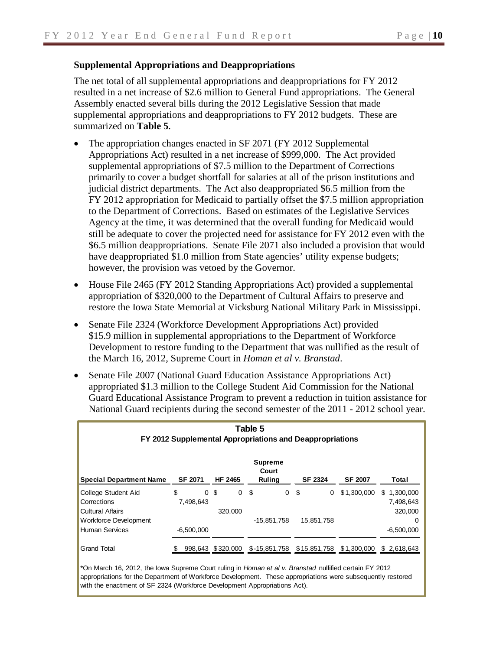### **Supplemental Appropriations and Deappropriations**

The net total of all supplemental appropriations and deappropriations for FY 2012 resulted in a net increase of \$2.6 million to General Fund appropriations. The General Assembly enacted several bills during the 2012 Legislative Session that made supplemental appropriations and deappropriations to FY 2012 budgets. These are summarized on **Table 5**.

- The appropriation changes enacted in SF 2071 (FY 2012 Supplemental Appropriations Act) resulted in a net increase of \$999,000. The Act provided supplemental appropriations of \$7.5 million to the Department of Corrections primarily to cover a budget shortfall for salaries at all of the prison institutions and judicial district departments. The Act also deappropriated \$6.5 million from the FY 2012 appropriation for Medicaid to partially offset the \$7.5 million appropriation to the Department of Corrections. Based on estimates of the Legislative Services Agency at the time, it was determined that the overall funding for Medicaid would still be adequate to cover the projected need for assistance for FY 2012 even with the \$6.5 million deappropriations. Senate File 2071 also included a provision that would have deappropriated \$1.0 million from State agencies' utility expense budgets; however, the provision was vetoed by the Governor.
- House File 2465 (FY 2012 Standing Appropriations Act) provided a supplemental appropriation of \$320,000 to the Department of Cultural Affairs to preserve and restore the Iowa State Memorial at Vicksburg National Military Park in Mississippi.
- Senate File 2324 (Workforce Development Appropriations Act) provided \$15.9 million in supplemental appropriations to the Department of Workforce Development to restore funding to the Department that was nullified as the result of the March 16, 2012, Supreme Court in *Homan et al v. Branstad*.
- Senate File 2007 (National Guard Education Assistance Appropriations Act) appropriated \$1.3 million to the College Student Aid Commission for the National Guard Educational Assistance Program to prevent a reduction in tuition assistance for National Guard recipients during the second semester of the 2011 - 2012 school year.

| Table 5<br>FY 2012 Supplemental Appropriations and Deappropriations |                             |                              |                                          |                |                |                                          |  |  |  |  |  |
|---------------------------------------------------------------------|-----------------------------|------------------------------|------------------------------------------|----------------|----------------|------------------------------------------|--|--|--|--|--|
| <b>Special Department Name</b>                                      | <b>SF 2071</b>              | <b>HF 2465</b>               | <b>Supreme</b><br>Court<br><b>Ruling</b> | <b>SF 2324</b> | <b>SF 2007</b> | Total                                    |  |  |  |  |  |
| College Student Aid<br>Corrections<br><b>Cultural Affairs</b>       | \$<br>$\Omega$<br>7,498,643 | \$<br>$\mathbf 0$<br>320,000 | \$<br>0                                  | \$<br>0        | \$1,300,000    | 1,300,000<br>\$.<br>7,498,643<br>320,000 |  |  |  |  |  |
| Workforce Development<br>Human Services                             | $-6,500,000$                |                              | -15,851,758                              | 15.851.758     |                | 0<br>$-6,500,000$                        |  |  |  |  |  |
| <b>Grand Total</b>                                                  | S                           | 998,643 \$320,000            | \$-15,851,758                            | \$15,851,758   | \$1,300,000    | \$2,618,643                              |  |  |  |  |  |

\*On March 16, 2012, the Iowa Supreme Court ruling in *Homan et al v. Branstad* nullified certain FY 2012 appropriations for the Department of Workforce Development. These appropriations were subsequently restored with the enactment of SF 2324 (Workforce Development Appropriations Act).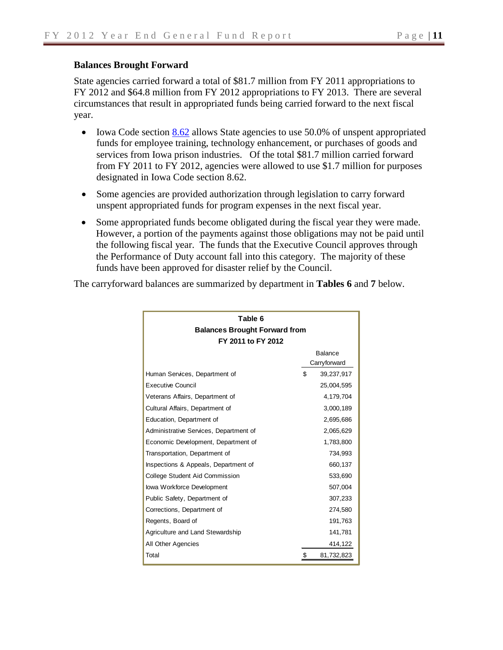### **Balances Brought Forward**

State agencies carried forward a total of \$81.7 million from FY 2011 appropriations to FY 2012 and \$64.8 million from FY 2012 appropriations to FY 2013. There are several circumstances that result in appropriated funds being carried forward to the next fiscal year.

- Iowa Code section [8.62](https://www.legis.iowa.gov/DOCS/ACO/IC/LINC/Section.8.62.pdf) allows State agencies to use 50.0% of unspent appropriated funds for employee training, technology enhancement, or purchases of goods and services from Iowa prison industries. Of the total \$81.7 million carried forward from FY 2011 to FY 2012, agencies were allowed to use \$1.7 million for purposes designated in Iowa Code section 8.62.
- Some agencies are provided authorization through legislation to carry forward unspent appropriated funds for program expenses in the next fiscal year.
- Some appropriated funds become obligated during the fiscal year they were made. However, a portion of the payments against those obligations may not be paid until the following fiscal year. The funds that the Executive Council approves through the Performance of Duty account fall into this category. The majority of these funds have been approved for disaster relief by the Council.

| The carryforward balances are summarized by department in Tables 6 and 7 below. |  |  |
|---------------------------------------------------------------------------------|--|--|
|---------------------------------------------------------------------------------|--|--|

| Table 6                                |    |                |  |  |  |  |  |  |
|----------------------------------------|----|----------------|--|--|--|--|--|--|
| <b>Balances Brought Forward from</b>   |    |                |  |  |  |  |  |  |
| FY 2011 to FY 2012                     |    |                |  |  |  |  |  |  |
|                                        |    | <b>Balance</b> |  |  |  |  |  |  |
|                                        |    | Carryforward   |  |  |  |  |  |  |
| Human Services, Department of          | \$ | 39,237,917     |  |  |  |  |  |  |
| <b>Executive Council</b>               |    | 25,004,595     |  |  |  |  |  |  |
| Veterans Affairs, Department of        |    | 4,179,704      |  |  |  |  |  |  |
| Cultural Affairs, Department of        |    | 3,000,189      |  |  |  |  |  |  |
| Education, Department of               |    | 2,695,686      |  |  |  |  |  |  |
| Administrative Services, Department of |    | 2,065,629      |  |  |  |  |  |  |
| Economic Development, Department of    |    | 1,783,800      |  |  |  |  |  |  |
| Transportation, Department of          |    | 734,993        |  |  |  |  |  |  |
| Inspections & Appeals, Department of   |    | 660,137        |  |  |  |  |  |  |
| College Student Aid Commission         |    | 533,690        |  |  |  |  |  |  |
| lowa Workforce Development             |    | 507,004        |  |  |  |  |  |  |
| Public Safety, Department of           |    | 307,233        |  |  |  |  |  |  |
| Corrections, Department of             |    | 274,580        |  |  |  |  |  |  |
| Regents, Board of                      |    | 191,763        |  |  |  |  |  |  |
| Agriculture and Land Stewardship       |    | 141,781        |  |  |  |  |  |  |
| All Other Agencies                     |    | 414,122        |  |  |  |  |  |  |
| Total                                  | \$ | 81,732,823     |  |  |  |  |  |  |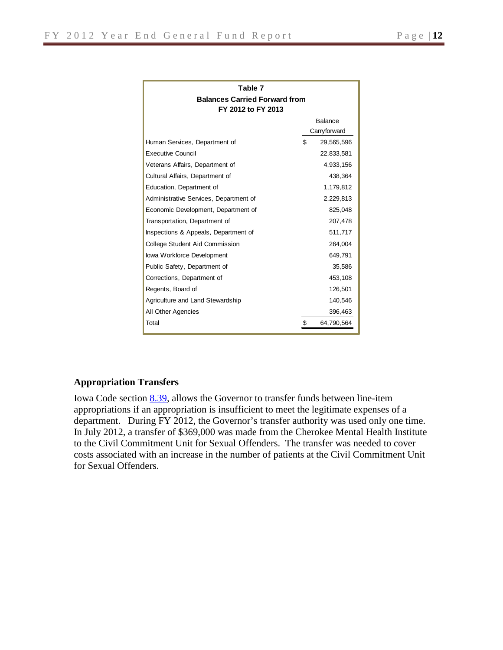| Table 7                                |    |              |  |  |  |  |  |  |
|----------------------------------------|----|--------------|--|--|--|--|--|--|
| <b>Balances Carried Forward from</b>   |    |              |  |  |  |  |  |  |
| FY 2012 to FY 2013                     |    |              |  |  |  |  |  |  |
|                                        |    | Balance      |  |  |  |  |  |  |
|                                        |    | Carryforward |  |  |  |  |  |  |
| Human Services, Department of          | \$ | 29,565,596   |  |  |  |  |  |  |
| <b>Executive Council</b>               |    | 22,833,581   |  |  |  |  |  |  |
| Veterans Affairs, Department of        |    | 4,933,156    |  |  |  |  |  |  |
| Cultural Affairs, Department of        |    | 438,364      |  |  |  |  |  |  |
| Education, Department of               |    | 1,179,812    |  |  |  |  |  |  |
| Administrative Services, Department of |    | 2,229,813    |  |  |  |  |  |  |
| Economic Development, Department of    |    | 825,048      |  |  |  |  |  |  |
| Transportation, Department of          |    | 207,478      |  |  |  |  |  |  |
| Inspections & Appeals, Department of   |    | 511,717      |  |  |  |  |  |  |
| College Student Aid Commission         |    | 264,004      |  |  |  |  |  |  |
| lowa Workforce Development             |    | 649,791      |  |  |  |  |  |  |
| Public Safety, Department of           |    | 35,586       |  |  |  |  |  |  |
| Corrections, Department of             |    | 453,108      |  |  |  |  |  |  |
| Regents, Board of                      |    | 126,501      |  |  |  |  |  |  |
| Agriculture and Land Stewardship       |    | 140,546      |  |  |  |  |  |  |
| All Other Agencies                     |    | 396,463      |  |  |  |  |  |  |
| Total                                  | \$ | 64,790,564   |  |  |  |  |  |  |

### **Appropriation Transfers**

Iowa Code section [8.39,](https://www.legis.iowa.gov/DOCS/ACO/IC/LINC/Section.8.39.pdf) allows the Governor to transfer funds between line-item appropriations if an appropriation is insufficient to meet the legitimate expenses of a department. During FY 2012, the Governor's transfer authority was used only one time. In July 2012, a transfer of \$369,000 was made from the Cherokee Mental Health Institute to the Civil Commitment Unit for Sexual Offenders. The transfer was needed to cover costs associated with an increase in the number of patients at the Civil Commitment Unit for Sexual Offenders.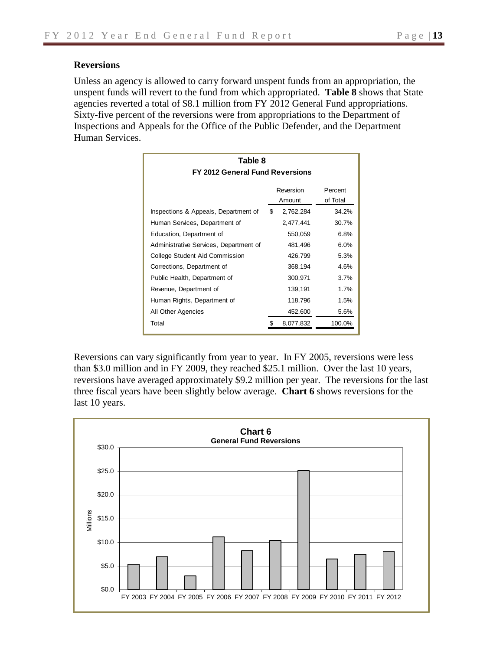### **Reversions**

Unless an agency is allowed to carry forward unspent funds from an appropriation, the unspent funds will revert to the fund from which appropriated. **Table 8** shows that State agencies reverted a total of \$8.1 million from FY 2012 General Fund appropriations. Sixty-five percent of the reversions were from appropriations to the Department of Inspections and Appeals for the Office of the Public Defender, and the Department Human Services.

| Table 8<br>FY 2012 General Fund Reversions |                     |           |        |  |  |  |  |  |  |  |
|--------------------------------------------|---------------------|-----------|--------|--|--|--|--|--|--|--|
|                                            | Percent<br>of Total |           |        |  |  |  |  |  |  |  |
| Inspections & Appeals, Department of       | \$                  | 2,762,284 | 34.2%  |  |  |  |  |  |  |  |
| Human Services, Department of              |                     | 2,477,441 | 30.7%  |  |  |  |  |  |  |  |
| Education, Department of                   |                     | 550,059   | 6.8%   |  |  |  |  |  |  |  |
| Administrative Services, Department of     |                     | 481,496   | 6.0%   |  |  |  |  |  |  |  |
| College Student Aid Commission             |                     | 426,799   | 5.3%   |  |  |  |  |  |  |  |
| Corrections, Department of                 |                     | 368,194   | 4.6%   |  |  |  |  |  |  |  |
| Public Health, Department of               |                     | 300,971   | 3.7%   |  |  |  |  |  |  |  |
| Revenue, Department of                     |                     | 139,191   | 1.7%   |  |  |  |  |  |  |  |
| Human Rights, Department of                |                     | 118,796   | 1.5%   |  |  |  |  |  |  |  |
| All Other Agencies                         |                     | 452,600   | 5.6%   |  |  |  |  |  |  |  |
| Total                                      |                     | 8,077,832 | 100.0% |  |  |  |  |  |  |  |

Reversions can vary significantly from year to year. In FY 2005, reversions were less than \$3.0 million and in FY 2009, they reached \$25.1 million. Over the last 10 years, reversions have averaged approximately \$9.2 million per year. The reversions for the last three fiscal years have been slightly below average. **Chart 6** shows reversions for the last 10 years.

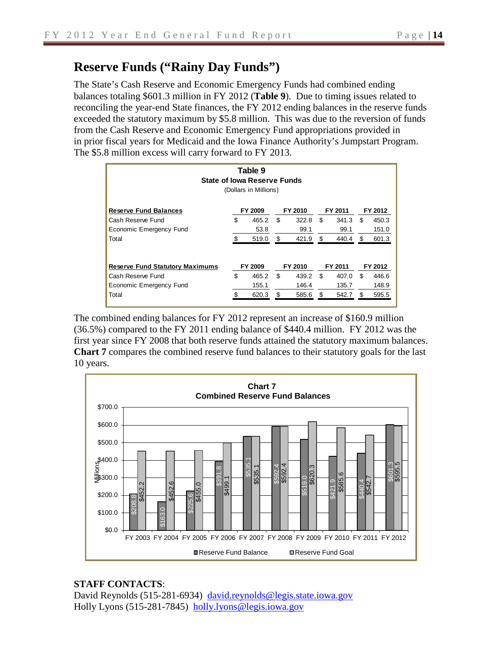# **Reserve Funds ("Rainy Day Funds")**

The State's Cash Reserve and Economic Emergency Funds had combined ending balances totaling \$601.3 million in FY 2012 (**Table 9**). Due to timing issues related to reconciling the year-end State finances, the FY 2012 ending balances in the reserve funds exceeded the statutory maximum by \$5.8 million. This was due to the reversion of funds from the Cash Reserve and Economic Emergency Fund appropriations provided in in prior fiscal years for Medicaid and the Iowa Finance Authority's Jumpstart Program. The \$5.8 million excess will carry forward to FY 2013.

| Table 9<br><b>State of Iowa Reserve Funds</b><br>(Dollars in Millions) |    |         |    |         |     |         |    |         |  |  |  |
|------------------------------------------------------------------------|----|---------|----|---------|-----|---------|----|---------|--|--|--|
| <b>Reserve Fund Balances</b>                                           |    | FY 2009 |    | FY 2010 |     | FY 2011 |    | FY 2012 |  |  |  |
| Cash Reserve Fund                                                      | \$ | 465.2   | \$ | 322.8   | \$  | 341.3   | \$ | 450.3   |  |  |  |
| Economic Emergency Fund                                                |    | 53.8    |    | 99.1    |     | 99.1    |    | 151.0   |  |  |  |
| Total                                                                  |    | 519.0   | \$ | 421.9   | \$  | 440.4   | \$ | 601.3   |  |  |  |
| <b>Reserve Fund Statutory Maximums</b>                                 |    | FY 2009 |    | FY 2010 |     | FY 2011 |    | FY 2012 |  |  |  |
| Cash Reserve Fund                                                      | \$ | 465.2   | \$ | 439.2   | \$  | 407.0   | \$ | 446.6   |  |  |  |
| Economic Emergency Fund                                                |    | 155.1   |    | 146.4   |     | 135.7   |    | 148.9   |  |  |  |
| Total                                                                  |    | 620.3   | \$ | 585.6   | \$. | 542.7   | \$ | 595.5   |  |  |  |

The combined ending balances for FY 2012 represent an increase of \$160.9 million (36.5%) compared to the FY 2011 ending balance of \$440.4 million. FY 2012 was the first year since FY 2008 that both reserve funds attained the statutory maximum balances. **Chart 7** compares the combined reserve fund balances to their statutory goals for the last 10 years.



### **STAFF CONTACTS**:

David Reynolds (515-281-6934) [david.reynolds@legis.state.iowa.gov](mailto:david.reynolds@legis.state.iowa.gov) Holly Lyons (515-281-7845) [holly.lyons@legis.iowa.gov](mailto:holly.lyons@legis.iowa.gov)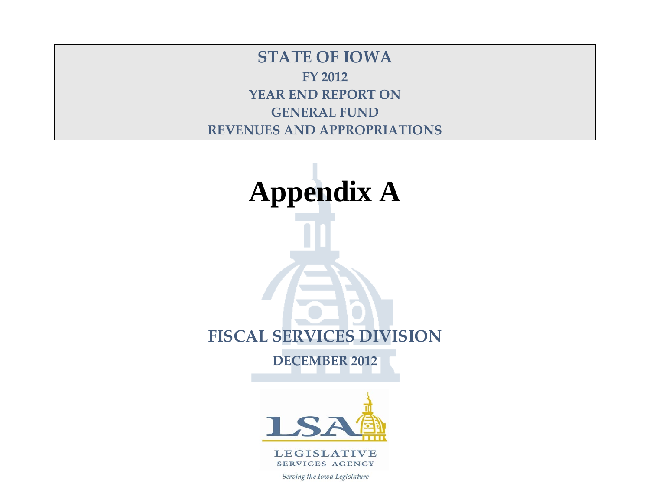**STATE OF IOWA FY 2012 YEAR END REPORT ON GENERAL FUND REVENUES AND APPROPRIATIONS**

# **Appendix A FISCAL SERVICES DIVISION DECEMBER 2012**

**LEGISLATIVE SERVICES AGENCY** 

Serving the Iowa Legislature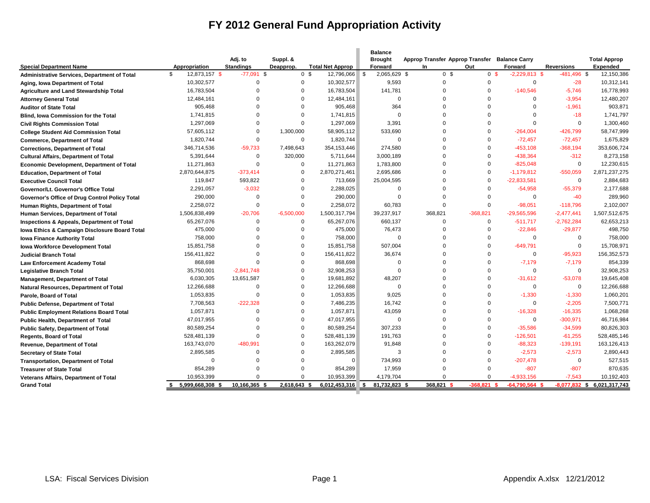# **FY 2012 General Fund Appropriation Activity**

| <b>Special Department Name</b><br><b>Administrative Services, Department of Total</b><br>Aging, Iowa Department of Total<br><b>Agriculture and Land Stewardship Total</b><br><b>Attorney General Total</b><br><b>Auditor of State Total</b><br><b>Blind, lowa Commission for the Total</b><br><b>Civil Rights Commission Total</b><br><b>College Student Aid Commission Total</b> | Appropriation<br>\$<br>12,873,157 \$<br>10,302,577<br>16.783.504<br>12,484,161<br>905,468<br>1,741,815<br>1,297,069<br>57,605,112 | Adj. to<br><b>Standings</b><br>$-77,091$ \$<br>$\Omega$<br>$\Omega$<br>$\Omega$<br>$\mathbf 0$<br>$\Omega$ | Suppl. &<br>Deapprop.<br>0 <sup>5</sup><br>$\mathbf 0$<br>$\Omega$<br>$\Omega$<br>$\mathbf 0$ | <b>Total Net Approp</b><br>12,796,066<br>10,302,577<br>16,783,504<br>12,484,161 | <b>Brought</b><br>Forward<br>2,065,629 \$<br><b>S</b><br>9,593<br>141,781 | Approp Transfer Approp Transfer Balance Carry<br><b>In</b><br>0 <sup>5</sup><br>$\Omega$<br>$\Omega$ | Out<br>0 <sup>5</sup><br>$\Omega$<br>$\Omega$ | Forward<br>$-2,229,813$ \$<br>$\mathbf 0$ | <b>Reversions</b><br>$-481,496$ \$<br>$-28$ | <b>Total Approp</b><br><b>Expended</b><br>12,150,386 |
|-----------------------------------------------------------------------------------------------------------------------------------------------------------------------------------------------------------------------------------------------------------------------------------------------------------------------------------------------------------------------------------|-----------------------------------------------------------------------------------------------------------------------------------|------------------------------------------------------------------------------------------------------------|-----------------------------------------------------------------------------------------------|---------------------------------------------------------------------------------|---------------------------------------------------------------------------|------------------------------------------------------------------------------------------------------|-----------------------------------------------|-------------------------------------------|---------------------------------------------|------------------------------------------------------|
|                                                                                                                                                                                                                                                                                                                                                                                   |                                                                                                                                   |                                                                                                            |                                                                                               |                                                                                 |                                                                           |                                                                                                      |                                               |                                           |                                             |                                                      |
|                                                                                                                                                                                                                                                                                                                                                                                   |                                                                                                                                   |                                                                                                            |                                                                                               |                                                                                 |                                                                           |                                                                                                      |                                               |                                           |                                             |                                                      |
|                                                                                                                                                                                                                                                                                                                                                                                   |                                                                                                                                   |                                                                                                            |                                                                                               |                                                                                 |                                                                           |                                                                                                      |                                               |                                           |                                             | 10,312,141                                           |
|                                                                                                                                                                                                                                                                                                                                                                                   |                                                                                                                                   |                                                                                                            |                                                                                               |                                                                                 |                                                                           |                                                                                                      |                                               | $-140,546$                                | $-5.746$                                    | 16.778.993                                           |
|                                                                                                                                                                                                                                                                                                                                                                                   |                                                                                                                                   |                                                                                                            |                                                                                               |                                                                                 | $\Omega$                                                                  | $\Omega$                                                                                             | $\Omega$                                      | $\Omega$                                  | $-3,954$                                    | 12,480,207                                           |
|                                                                                                                                                                                                                                                                                                                                                                                   |                                                                                                                                   |                                                                                                            |                                                                                               | 905,468                                                                         | 364                                                                       | $\Omega$                                                                                             | $\Omega$                                      | $\mathbf 0$                               | $-1,961$                                    | 903,871                                              |
|                                                                                                                                                                                                                                                                                                                                                                                   |                                                                                                                                   |                                                                                                            | $\Omega$                                                                                      | 1,741,815                                                                       | $\Omega$                                                                  | $\Omega$                                                                                             | $\Omega$                                      | $\Omega$                                  | $-18$                                       | 1,741,797                                            |
|                                                                                                                                                                                                                                                                                                                                                                                   |                                                                                                                                   | $\Omega$                                                                                                   | $\Omega$                                                                                      | 1,297,069                                                                       | 3,391                                                                     | $\Omega$                                                                                             | $\Omega$                                      | $\Omega$                                  | $\mathbf 0$                                 | 1,300,460                                            |
|                                                                                                                                                                                                                                                                                                                                                                                   |                                                                                                                                   | $\Omega$                                                                                                   | 1,300,000                                                                                     | 58,905,112                                                                      | 533,690                                                                   | $\Omega$                                                                                             | $\Omega$                                      | $-264,004$                                | $-426,799$                                  | 58,747,999                                           |
| <b>Commerce, Department of Total</b>                                                                                                                                                                                                                                                                                                                                              | 1,820,744                                                                                                                         | $\mathbf 0$                                                                                                | $\mathbf 0$                                                                                   | 1,820,744                                                                       | $\mathbf 0$                                                               | $\Omega$                                                                                             | $\Omega$                                      | $-72,457$                                 | $-72,457$                                   | 1,675,829                                            |
| <b>Corrections, Department of Total</b>                                                                                                                                                                                                                                                                                                                                           | 346,714,536                                                                                                                       | $-59,733$                                                                                                  | 7,498,643                                                                                     | 354, 153, 446                                                                   | 274,580                                                                   | $\Omega$                                                                                             | $\Omega$                                      | $-453,108$                                | $-368,194$                                  | 353,606,724                                          |
| <b>Cultural Affairs, Department of Total</b>                                                                                                                                                                                                                                                                                                                                      | 5,391,644                                                                                                                         | $\mathbf 0$                                                                                                | 320,000                                                                                       | 5,711,644                                                                       | 3,000,189                                                                 | $\Omega$                                                                                             | $\Omega$                                      | $-438,364$                                | $-312$                                      | 8,273,158                                            |
| <b>Economic Development, Department of Total</b>                                                                                                                                                                                                                                                                                                                                  | 11,271,863                                                                                                                        | $\Omega$                                                                                                   | $\Omega$                                                                                      | 11,271,863                                                                      | 1,783,800                                                                 | $\Omega$                                                                                             | $\Omega$                                      | $-825,048$                                | $\mathbf 0$                                 | 12,230,615                                           |
| <b>Education, Department of Total</b>                                                                                                                                                                                                                                                                                                                                             | 2,870,644,875                                                                                                                     | $-373,414$                                                                                                 | $\Omega$                                                                                      | 2,870,271,461                                                                   | 2,695,686                                                                 | $\Omega$                                                                                             | $\Omega$                                      | $-1,179,812$                              | $-550,059$                                  | 2,871,237,275                                        |
| <b>Executive Council Total</b>                                                                                                                                                                                                                                                                                                                                                    | 119,847                                                                                                                           | 593,822                                                                                                    | $\Omega$                                                                                      | 713,669                                                                         | 25,004,595                                                                | $\Omega$                                                                                             | $\Omega$                                      | $-22,833,581$                             | $\mathbf 0$                                 | 2,884,683                                            |
| Governor/Lt. Governor's Office Total                                                                                                                                                                                                                                                                                                                                              | 2,291,057                                                                                                                         | $-3,032$                                                                                                   | $\Omega$                                                                                      | 2,288,025                                                                       | $\Omega$                                                                  | $\Omega$                                                                                             | $\Omega$                                      | $-54,958$                                 | $-55,379$                                   | 2,177,688                                            |
| Governor's Office of Drug Control Policy Total                                                                                                                                                                                                                                                                                                                                    | 290,000                                                                                                                           | $\Omega$                                                                                                   | $\Omega$                                                                                      | 290,000                                                                         | $\Omega$                                                                  | $\Omega$                                                                                             | $\Omega$                                      | $\Omega$                                  | $-40$                                       | 289,960                                              |
| Human Rights, Department of Total                                                                                                                                                                                                                                                                                                                                                 | 2,258,072                                                                                                                         | $\mathbf 0$                                                                                                | $\mathbf 0$                                                                                   | 2,258,072                                                                       | 60,783                                                                    | $\Omega$                                                                                             | $\Omega$                                      | $-98,051$                                 | $-118,796$                                  | 2,102,007                                            |
| Human Services, Department of Total                                                                                                                                                                                                                                                                                                                                               | 1,506,838,499                                                                                                                     | $-20,706$                                                                                                  | $-6,500,000$                                                                                  | 1,500,317,794                                                                   | 39,237,917                                                                | 368,821                                                                                              | $-368,821$                                    | $-29,565,596$                             | $-2.477.441$                                | 1,507,512,675                                        |
| <b>Inspections &amp; Appeals, Department of Total</b>                                                                                                                                                                                                                                                                                                                             | 65,267,076                                                                                                                        | $\mathbf 0$                                                                                                | $\mathbf 0$                                                                                   | 65,267,076                                                                      | 660,137                                                                   | $\Omega$                                                                                             | $\Omega$                                      | $-511,717$                                | $-2,762,284$                                | 62,653,213                                           |
| Iowa Ethics & Campaign Disclosure Board Total                                                                                                                                                                                                                                                                                                                                     | 475,000                                                                                                                           | $\Omega$                                                                                                   | $\Omega$                                                                                      | 475,000                                                                         | 76,473                                                                    | $\Omega$                                                                                             | $\Omega$                                      | $-22,846$                                 | $-29,877$                                   | 498,750                                              |
| <b>Iowa Finance Authority Total</b>                                                                                                                                                                                                                                                                                                                                               | 758,000                                                                                                                           | $\Omega$                                                                                                   | $\mathbf 0$                                                                                   | 758.000                                                                         |                                                                           | $\Omega$<br>$\Omega$                                                                                 | $\Omega$                                      | $\Omega$                                  | $\mathbf 0$                                 | 758,000                                              |
| <b>Iowa Workforce Development Total</b>                                                                                                                                                                                                                                                                                                                                           | 15,851,758                                                                                                                        | $\Omega$                                                                                                   | $\Omega$                                                                                      | 15,851,758                                                                      | 507,004                                                                   | $\Omega$                                                                                             | $\Omega$                                      | $-649,791$                                | $\mathbf 0$                                 | 15,708,971                                           |
| <b>Judicial Branch Total</b>                                                                                                                                                                                                                                                                                                                                                      | 156,411,822                                                                                                                       | $\Omega$                                                                                                   | $\Omega$                                                                                      | 156,411,822                                                                     | 36.674                                                                    | $\Omega$                                                                                             | $\Omega$                                      | $\Omega$                                  | $-95.923$                                   | 156,352,573                                          |
| Law Enforcement Academy Total                                                                                                                                                                                                                                                                                                                                                     | 868,698                                                                                                                           | $\Omega$                                                                                                   | $\Omega$                                                                                      | 868,698                                                                         | $\Omega$                                                                  | $\Omega$                                                                                             | $\Omega$                                      | $-7,179$                                  | $-7,179$                                    | 854,339                                              |
| <b>Legislative Branch Total</b>                                                                                                                                                                                                                                                                                                                                                   | 35,750,001                                                                                                                        | $-2,841,748$                                                                                               | $\mathbf 0$                                                                                   | 32,908,253                                                                      | $\Omega$                                                                  | $\Omega$                                                                                             | $\Omega$                                      | $\mathbf 0$                               | $\mathsf 0$                                 | 32,908,253                                           |
| <b>Management, Department of Total</b>                                                                                                                                                                                                                                                                                                                                            | 6,030,305                                                                                                                         | 13,651,587                                                                                                 | $\Omega$                                                                                      | 19,681,892                                                                      | 48,207                                                                    | $\Omega$                                                                                             | $\Omega$                                      | $-31,612$                                 | $-53,078$                                   | 19,645,408                                           |
| Natural Resources, Department of Total                                                                                                                                                                                                                                                                                                                                            | 12,266,688                                                                                                                        | $\Omega$                                                                                                   | $\mathbf 0$                                                                                   | 12,266,688                                                                      | $\Omega$                                                                  | $\Omega$                                                                                             | $\Omega$                                      | $\Omega$                                  | $\mathbf 0$                                 | 12,266,688                                           |
| Parole, Board of Total                                                                                                                                                                                                                                                                                                                                                            | 1,053,835                                                                                                                         | $\Omega$                                                                                                   | $\Omega$                                                                                      | 1,053,835                                                                       | 9.025                                                                     | $\Omega$                                                                                             | $\Omega$                                      | $-1,330$                                  | $-1,330$                                    | 1,060,201                                            |
| <b>Public Defense, Department of Total</b>                                                                                                                                                                                                                                                                                                                                        | 7,708,563                                                                                                                         | $-222.328$                                                                                                 | $\Omega$                                                                                      | 7,486,235                                                                       | 16,742                                                                    | $\Omega$                                                                                             | 0                                             | $\mathbf 0$                               | $-2,205$                                    | 7,500,771                                            |
| <b>Public Employment Relations Board Total</b>                                                                                                                                                                                                                                                                                                                                    | 1,057,871                                                                                                                         | $\Omega$                                                                                                   | $\Omega$                                                                                      | 1,057,871                                                                       | 43,059                                                                    | $\Omega$                                                                                             | $\Omega$                                      | $-16,328$                                 | $-16,335$                                   | 1,068,268                                            |
| Public Health, Department of Total                                                                                                                                                                                                                                                                                                                                                | 47.017.955                                                                                                                        | $\Omega$                                                                                                   | $\mathbf 0$                                                                                   | 47,017,955                                                                      | $\Omega$                                                                  | $\Omega$                                                                                             | $\Omega$                                      | $\Omega$                                  | $-300,971$                                  | 46,716,984                                           |
| <b>Public Safety, Department of Total</b>                                                                                                                                                                                                                                                                                                                                         | 80,589,254                                                                                                                        | $\Omega$                                                                                                   | $\mathbf 0$                                                                                   | 80,589,254                                                                      | 307,233                                                                   | $\Omega$                                                                                             | $\Omega$                                      | $-35,586$                                 | $-34,599$                                   | 80,826,303                                           |
| <b>Regents, Board of Total</b>                                                                                                                                                                                                                                                                                                                                                    | 528,481,139                                                                                                                       | $\Omega$                                                                                                   | $\mathbf 0$                                                                                   | 528,481,139                                                                     | 191,763                                                                   | $\Omega$                                                                                             | 0                                             | $-126,501$                                | $-61,255$                                   | 528,485,146                                          |
| <b>Revenue, Department of Total</b>                                                                                                                                                                                                                                                                                                                                               | 163,743,070                                                                                                                       | $-480,991$                                                                                                 | $\Omega$                                                                                      | 163,262,079                                                                     | 91,848                                                                    | $\Omega$                                                                                             | O                                             | $-88,323$                                 | $-139,191$                                  | 163,126,413                                          |
| <b>Secretary of State Total</b>                                                                                                                                                                                                                                                                                                                                                   | 2,895,585                                                                                                                         | $\Omega$                                                                                                   | $\Omega$                                                                                      | 2,895,585                                                                       | 3                                                                         | $\Omega$                                                                                             | $\Omega$                                      | $-2,573$                                  | $-2,573$                                    | 2,890,443                                            |
| <b>Transportation, Department of Total</b>                                                                                                                                                                                                                                                                                                                                        | $\Omega$                                                                                                                          | $\Omega$                                                                                                   | $\Omega$                                                                                      | $\Omega$                                                                        | 734,993                                                                   | $\Omega$                                                                                             | $\Omega$                                      | $-207,478$                                | $\mathbf 0$                                 | 527,515                                              |
| <b>Treasurer of State Total</b>                                                                                                                                                                                                                                                                                                                                                   | 854,289                                                                                                                           | $\Omega$                                                                                                   | $\Omega$                                                                                      | 854,289                                                                         | 17,959                                                                    | $\Omega$                                                                                             | $\Omega$                                      | $-807$                                    | $-807$                                      | 870,635                                              |
| <b>Veterans Affairs, Department of Total</b>                                                                                                                                                                                                                                                                                                                                      | 10,953,399                                                                                                                        | $\Omega$                                                                                                   | $\Omega$                                                                                      | 10,953,399                                                                      | 4,179,704                                                                 | $\Omega$                                                                                             | $\Omega$                                      | $-4.933.156$                              | $-7.543$                                    | 10,192,403                                           |
| <b>Grand Total</b>                                                                                                                                                                                                                                                                                                                                                                | 5,999,668,308 \$                                                                                                                  | 10,166,365 \$                                                                                              | 2,618,643 \$                                                                                  | 6,012,453,316                                                                   | 81,732,823 \$<br>\$                                                       | 368,821                                                                                              | $-368.821$                                    | $-64,790,564$                             |                                             | -8,077,832 \$ 6,021,317,743                          |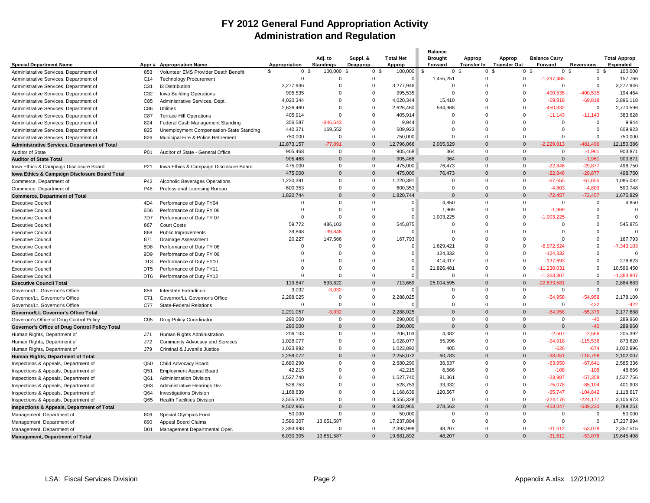### **FY 2012 General Fund Appropriation Activity Administration and Regulation**

|                                                     |                  |                                                                     |                           |                             |                       |                            | <b>Balance</b>            |                              |                               |                                 |                        |                                        |
|-----------------------------------------------------|------------------|---------------------------------------------------------------------|---------------------------|-----------------------------|-----------------------|----------------------------|---------------------------|------------------------------|-------------------------------|---------------------------------|------------------------|----------------------------------------|
| <b>Special Department Name</b>                      |                  | Appr# Appropriation Name                                            | Appropriation             | Adj. to<br><b>Standings</b> | Suppl. &<br>Deapprop. | <b>Total Net</b><br>Approp | <b>Brought</b><br>Forward | Approp<br><b>Transfer In</b> | Approp<br><b>Transfer Out</b> | <b>Balance Carry</b><br>Forward | <b>Reversions</b>      | <b>Total Approp</b><br><b>Expended</b> |
| Administrative Services, Department of              | 853              | Volunteer EMS Provider Death Benefit                                | \$<br>$\mathbf 0$<br>- \$ | 100,000 \$                  | 0 <sup>5</sup>        | $100,000$ \$               | 0                         | -9<br>$\Omega$               | . ጽ                           | 0 <sup>5</sup><br>$\mathbf 0$   | - \$<br>0 <sup>5</sup> | 100,000                                |
| Administrative Services, Department of              | C <sub>14</sub>  | <b>Technology Procurement</b>                                       | $\Omega$                  | $\Omega$                    | $\mathbf 0$           | $\Omega$                   | 1,455,251                 | $\Omega$                     | $\Omega$                      | $-1,297,485$                    | $\Omega$               | 157,766                                |
| Administrative Services, Department of              | C31              | <b>13 Distribution</b>                                              | 3,277,946                 | $\mathbf 0$                 | $\mathbf 0$           | 3,277,946                  | $\mathbf 0$               | $\Omega$                     | $\Omega$                      | $\mathbf 0$                     | $\Omega$               | 3,277,946                              |
| Administrative Services, Department of              | C32              | Iowa Building Operations                                            | 995,535                   | $\Omega$                    | $\overline{0}$        | 995,535                    | $\Omega$                  | $\Omega$                     | $\Omega$                      | $-400,535$                      | $-400,535$             | 194,464                                |
| Administrative Services, Department of              | C85              | Administrative Services, Dept.                                      | 4,020,344                 | $\Omega$                    | $\Omega$              | 4,020,344                  | 15,410                    | $\Omega$                     | $\Omega$                      | $-69,818$                       | $-69,818$              | 3,896,118                              |
| Administrative Services, Department of              | C86              | <b>Utilities</b>                                                    | 2,626,460                 | $\Omega$                    | $\overline{0}$        | 2,626,460                  | 594,968                   | $\Omega$                     | $\Omega$                      | 450,832                         | $\Omega$               | 2,770,596                              |
| Administrative Services, Department of              | C87              | <b>Terrace Hill Operations</b>                                      | 405,914                   | $\Omega$                    | $\Omega$              | 405,914                    | $\Omega$                  | $\Omega$                     | $\Omega$                      | $-11,143$                       | $-11.143$              | 383,628                                |
| Administrative Services, Department of              | 824              | Federal Cash Management Standing                                    | 356,587                   | $-346,643$                  | $\Omega$              | 9,944                      | $\Omega$                  | $\Omega$                     | $\Omega$                      | $\Omega$                        | $\Omega$               | 9,944                                  |
| Administrative Services, Department of              | 825              | Unemployment Compensation-State Standing                            | 440,371                   | 169,552                     | $\Omega$              | 609,923                    | $\Omega$                  | $\Omega$                     | $\Omega$                      | $\Omega$                        | $\Omega$               | 609,923                                |
| Administrative Services, Department of              | 826              | Municipal Fire & Police Retirement                                  | 750,000                   | $\Omega$                    | $\mathbf{0}$          | 750,000                    | $\Omega$                  | $\Omega$                     | $\Omega$                      | $\Omega$                        | $\Omega$               | 750,000                                |
| <b>Administrative Services, Department of Total</b> |                  |                                                                     | 12,873,157                | $-77.091$                   | $\Omega$              | 12,796,066                 | 2,065,629                 | $\Omega$                     | $\Omega$                      | $-2.229.813$                    | -481.496               | 12,150,386                             |
| Auditor of State                                    | P01              | Auditor of State - General Office                                   | 905,468                   | 0                           | $\mathbf 0$           | 905,468                    | 364                       | $\Omega$                     | $\Omega$                      | $\Omega$                        | $-1,961$               | 903,871                                |
| <b>Auditor of State Total</b>                       |                  |                                                                     | 905,468                   | $\Omega$                    | $\Omega$              | 905,468                    | 364                       | $\Omega$                     | $\Omega$                      | $\Omega$                        | $-1,961$               | 903,871                                |
| Iowa Ethics & Campaign Disclosure Board             | P21              | Iowa Ethics & Campaign Disclosure Board                             | 475,000                   | $\Omega$                    | $\mathbf 0$           | 475,000                    | 76,473                    | $\mathbf 0$                  | $\Omega$                      | $-22,846$                       | $-29,877$              | 498,750                                |
| Iowa Ethics & Campaign Disclosure Board Total       |                  |                                                                     | 475,000                   | $\Omega$                    | $\Omega$              | 475,000                    | 76,473                    | $\Omega$                     | $\Omega$                      | $-22,846$                       | $-29,877$              | 498,750                                |
| Commerce, Department of                             | P42              | Alcoholic Beverages Operations                                      | 1,220,391                 | $\Omega$                    | $\mathbf 0$           | 1,220,391                  | $\mathbf 0$               | $\Omega$                     | $\Omega$                      | $-67,655$                       | $-67,655$              | 1,085,082                              |
| Commerce, Department of                             | P48              | Professional Licensing Bureau                                       | 600,353                   | $\Omega$                    | $\overline{0}$        | 600,353                    | $\mathbf{0}$              | $\Omega$                     | $\Omega$                      | $-4,803$                        | $-4,803$               | 590,748                                |
| <b>Commerce, Department of Total</b>                |                  |                                                                     | 1,820,744                 | $\Omega$                    | $\Omega$              | 1,820,744                  | $\Omega$                  | $\Omega$                     | $\Omega$                      | $-72,457$                       | $-72,457$              | 1,675,829                              |
| <b>Executive Council</b>                            | 4D4              | Performance of Duty FY04                                            | $\Omega$                  | $\Omega$                    | $\overline{0}$        | $\Omega$                   | 4,850                     | $\Omega$                     | $\Omega$                      | $\Omega$                        | $\Omega$               | 4,850                                  |
| <b>Executive Council</b>                            | 6D <sub>6</sub>  | Performance of Duty FY 06                                           | $\Omega$                  | $\Omega$                    | $\Omega$              | $\Omega$                   | 1,969                     | $\Omega$                     | $\Omega$                      | $-1,969$                        | $\Omega$               | $\Omega$                               |
| <b>Executive Council</b>                            | 7D7              | Performance of Duty FY 07                                           | $\Omega$                  | $\Omega$                    | $\Omega$              |                            | 1,003,225                 | $\Omega$                     | $\Omega$                      | $-1,003,225$                    | $\Omega$               | $\Omega$                               |
| <b>Executive Council</b>                            | 867              | <b>Court Costs</b>                                                  | 59,772                    | 486,103                     | $\Omega$              | 545,875                    | $\Omega$                  | $\Omega$                     | $\Omega$                      | $\Omega$                        | $\Omega$               | 545,875                                |
| <b>Executive Council</b>                            | 868              | Public Improvements                                                 | 39,848                    | $-39,848$                   | $\mathbf 0$           | $\Omega$                   | $\overline{0}$            | $\Omega$                     | $\Omega$                      | $\Omega$                        | $\Omega$               | $\Omega$                               |
| <b>Executive Council</b>                            | 871              | Drainage Assessment                                                 | 20,227                    | 147,566                     | $\Omega$              | 167,793                    | $\Omega$                  | $\Omega$                     | $\Omega$                      | $\sqrt{ }$                      | $\Omega$               | 167,793                                |
| <b>Executive Council</b>                            | 8D <sub>8</sub>  | Performance of Duty FY 08                                           | $\Omega$                  | $\Omega$                    | $\mathbf 0$           | $\Omega$                   | 1,629,421                 | $\Omega$                     | $\Omega$                      | $-8,972,524$                    | $\Omega$               | $-7,343,103$                           |
| <b>Executive Council</b>                            | 9 <sub>D</sub> 9 | Performance of Duty FY 09                                           | $\Omega$                  | $\Omega$                    | $\Omega$              | $\Omega$                   | 124,332                   | $\Omega$                     | $\Omega$                      | $-124,332$                      | $\Omega$               | $\Omega$                               |
| <b>Executive Council</b>                            | DT3              | Performance of Duty FY10                                            | $\Omega$                  | $\Omega$                    | $\Omega$              | $\Omega$                   | 414,317                   | $\Omega$                     | $\Omega$                      | $-137,693$                      | $\Omega$               | 276,623                                |
| <b>Executive Council</b>                            | DT <sub>5</sub>  | Performance of Duty FY11                                            | $\Omega$                  | $\Omega$                    | $\Omega$              | $\Omega$                   | 21,826,481                | $\Omega$                     | $\Omega$                      | $-11,230,031$                   | $\Omega$               | 10,596,450                             |
| <b>Executive Council</b>                            | DT6              | Performance of Duty FY12                                            | $\Omega$                  | $\Omega$                    | $\Omega$              | $\Omega$                   | $\Omega$                  | $\Omega$                     | $\Omega$                      | $-1,363,807$                    | $\Omega$               | $-1,363,807$                           |
| <b>Executive Council Total</b>                      |                  |                                                                     | 119.847                   | 593,822                     | $\Omega$              | 713,669                    | 25,004,595                | $\Omega$                     | $\Omega$                      | $-22.833.581$                   | $\Omega$               | 2,884,683                              |
| Governor/Lt. Governor's Office                      | 856              | <b>Interstate Extradition</b>                                       | 3,032                     | $-3,032$                    | $\mathbf 0$           |                            | 0                         | $\Omega$                     | $\Omega$                      | $\mathbf 0$                     | $\Omega$               | $\Omega$                               |
| Governor/Lt. Governor's Office                      | C71              | Governor/Lt. Governor's Office                                      | 2,288,025                 | $\Omega$                    | $\mathbf 0$           | 2,288,025                  | $\Omega$                  | $\Omega$                     | $\Omega$                      | $-54,958$                       | $-54,958$              | 2,178,109                              |
| Governor/Lt. Governor's Office                      | C77              | <b>State-Federal Relations</b>                                      | $\Omega$                  | $\Omega$                    | $\overline{0}$        | $\Omega$                   | $\Omega$                  | $\Omega$                     | $\Omega$                      | $\Omega$                        | $-422$                 | $-422$                                 |
| Governor/Lt. Governor's Office Total                |                  |                                                                     | 2,291,057                 | $-3,032$                    | $\overline{0}$        | 2,288,025                  | $\overline{0}$            | $\Omega$                     | $\Omega$                      | $-54,958$                       | $-55,379$              | 2,177,688                              |
| Governor's Office of Drug Control Policy            | C05              | <b>Drug Policy Coordinator</b>                                      | 290,000                   | $\Omega$                    | $\Omega$              | 290,000                    | $\mathbf{0}$              | $\Omega$                     | $\Omega$                      | $\Omega$                        | $-40$                  | 289,960                                |
| Governor's Office of Drug Control Policy Total      |                  |                                                                     | 290,000                   | $\Omega$                    | $\Omega$              | 290,000                    | $\overline{0}$            | $\Omega$                     | $\Omega$                      | $\mathbf 0$                     | $-40$                  | 289,960                                |
| Human Rights, Department of                         | J71              | Human Rights Administration                                         | 206,103                   | $\Omega$                    | $\Omega$              | 206,103                    | 4,382                     | $\Omega$                     | $\Omega$                      | $-2.507$                        | $-2.586$               | 205,392                                |
| Human Rights, Department of                         | J72              | Community Advocacy and Services                                     | 1,028,077                 | $\Omega$                    | $\mathbf 0$           | 1,028,077                  | 55,996                    | $\Omega$                     | $\Omega$                      | $-94,918$                       | $-115,536$             | 873,620                                |
| Human Rights, Department of                         | J79              | Criminal & Juvenile Justice                                         | 1,023,892                 | $\Omega$                    | $\overline{0}$        | 1,023,892                  | 405                       | $\Omega$                     | $\Omega$                      | $-626$                          | $-674$                 | 1,022,996                              |
| Human Rights, Department of Total                   |                  |                                                                     | 2,258,072                 | $\Omega$                    | $\Omega$              | 2,258,072                  | 60,783                    | $\Omega$                     | $\Omega$                      | $-98,051$                       | $-118,796$             | 2,102,007                              |
| Inspections & Appeals, Department of                | Q50              | Child Advocacy Board                                                | 2,680,290                 | $\Omega$                    | $\mathbf{0}$          | 2,680,290                  | 36,637                    | $\Omega$                     | $\Omega$                      | $-63,950$                       | $-67,641$              | 2,585,336                              |
| Inspections & Appeals, Department of                | Q51              | Employment Appeal Board                                             | 42,215                    | $\Omega$                    | $\overline{0}$        | 42,215                     | 6,666                     | $\Omega$                     | $\Omega$                      | $-108$                          | $-108$                 | 48,666                                 |
| Inspections & Appeals, Department of                | Q61              | <b>Administration Division</b>                                      | 1,527,740                 | $\Omega$                    | $\mathbf{0}$          | 1,527,740                  | 81,361                    | $\Omega$                     | $\Omega$                      | $-23,987$                       | $-57,358$              | 1,527,756                              |
| Inspections & Appeals, Department of                | Q63              | Administrative Hearings Div.                                        | 528,753                   | $\Omega$                    | $\overline{0}$        | 528,753                    | 33,332                    | $\Omega$                     | $\Omega$                      | $-75,078$                       | $-85,104$              | 401,903                                |
|                                                     | Q64              |                                                                     | 1,168,639                 | $\Omega$                    | $\mathbf 0$           | 1,168,639                  | 120,567                   | $\Omega$                     | $\Omega$                      | $-65,747$                       | $-104,842$             | 1,118,617                              |
| Inspections & Appeals, Department of                | Q65              | <b>Investigations Division</b><br><b>Health Facilities Division</b> | 3,555,328                 | $\Omega$                    | $\mathbf 0$           | 3,555,328                  | $\Omega$                  | $\Omega$                     | $\Omega$                      | $-224.178$                      | $-224.177$             | 3,106,973                              |
| Inspections & Appeals, Department of                |                  |                                                                     | 9,502,965                 | $\Omega$                    | $\overline{0}$        | 9,502,965                  | 278,563                   | $\Omega$                     | $\Omega$                      | $-453,047$                      | $-539,230$             | 8,789,251                              |
| Inspections & Appeals, Department of Total          |                  |                                                                     | 50,000                    | $\Omega$                    | $\Omega$              | 50,000                     | $\Omega$                  | $\Omega$                     | $\Omega$                      | $\Omega$                        | $\Omega$               | 50,000                                 |
| Management, Department of                           | 809              | Special Olympics Fund                                               | 3,586,307                 | 13,651,587                  | $\mathbf 0$           | 17,237,894                 | $\overline{0}$            | $\Omega$                     | $\Omega$                      | $\mathbf 0$                     | $\Omega$               | 17,237,894                             |
| Management, Department of                           | 890              | Appeal Board Claims                                                 | 2.393.998                 | $\Omega$                    | $\Omega$              | 2.393.998                  | 48.207                    | $\Omega$                     | $\Omega$                      | $-31.612$                       | $-53.078$              | 2.357.515                              |
| Management, Department of                           | D <sub>01</sub>  | Management Departmental Oper.                                       | 6,030,305                 | 13,651,587                  | $\Omega$              | 19,681,892                 | 48,207                    | $\Omega$                     | $\Omega$                      | $-31,612$                       | $-53,078$              | 19,645,408                             |
| Management, Department of Total                     |                  |                                                                     |                           |                             |                       |                            |                           |                              |                               |                                 |                        |                                        |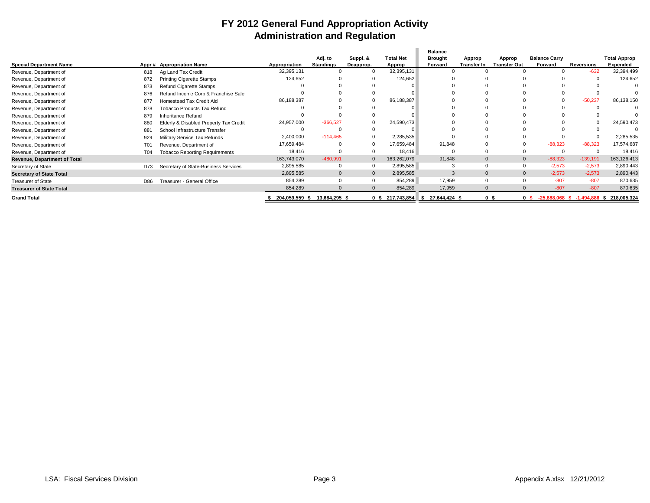### **FY 2012 General Fund Appropriation Activity Administration and Regulation**

|                                     |     |                                        |                              |                             |                       |                            | <b>Balance</b>            |                       |                               |                                               |            |                                 |
|-------------------------------------|-----|----------------------------------------|------------------------------|-----------------------------|-----------------------|----------------------------|---------------------------|-----------------------|-------------------------------|-----------------------------------------------|------------|---------------------------------|
| <b>Special Department Name</b>      |     | Appr # Appropriation Name              | Appropriation                | Adj. to<br><b>Standings</b> | Suppl. &<br>Deapprop. | <b>Total Net</b><br>Approp | <b>Brought</b><br>Forward | Approp<br>Transfer In | Approp<br><b>Transfer Out</b> | <b>Balance Carry</b><br>Forward               | Reversions | <b>Total Approp</b><br>Expended |
|                                     |     |                                        |                              |                             |                       |                            |                           |                       |                               |                                               |            |                                 |
| Revenue, Department of              | 818 | Ag Land Tax Credit                     | 32,395,131                   |                             |                       | 32,395,131                 |                           |                       |                               |                                               | $-632$     | 32,394,499                      |
| Revenue, Department of              | 872 | <b>Printing Cigarette Stamps</b>       | 124,652                      |                             |                       | 124,652                    |                           |                       |                               |                                               |            | 124,652                         |
| Revenue, Department of              | 873 | Refund Cigarette Stamps                |                              |                             |                       |                            |                           |                       |                               |                                               |            |                                 |
| Revenue, Department of              | 876 | Refund Income Corp & Franchise Sale    |                              |                             |                       |                            |                           |                       |                               |                                               |            |                                 |
| Revenue, Department of              | 877 | Homestead Tax Credit Aid               | 86,188,387                   |                             | $\Omega$              | 86,188,387                 |                           |                       |                               |                                               | $-50,237$  | 86,138,150                      |
| Revenue, Department of              | 878 | <b>Tobacco Products Tax Refund</b>     |                              |                             |                       |                            |                           |                       |                               |                                               |            |                                 |
| Revenue, Department of              | 879 | Inheritance Refund                     |                              |                             |                       |                            |                           |                       |                               |                                               |            |                                 |
| Revenue, Department of              | 880 | Elderly & Disabled Property Tax Credit | 24,957,000                   | $-366,527$                  |                       | 24,590,473                 |                           |                       |                               |                                               |            | 24,590,473                      |
| Revenue, Department of              | 881 | School Infrastructure Transfer         |                              |                             |                       |                            |                           |                       |                               |                                               |            |                                 |
| Revenue, Department of              | 929 | Military Service Tax Refunds           | 2,400,000                    | $-114,465$                  |                       | 2,285,535                  |                           |                       |                               |                                               |            | 2,285,535                       |
| Revenue, Department of              | T01 | Revenue, Department of                 | 17,659,484                   |                             |                       | 17.659.484                 | 91.848                    |                       |                               | $-88,323$                                     | $-88.323$  | 17,574,687                      |
| Revenue, Department of              | T04 | <b>Tobacco Reporting Requirements</b>  | 18,416                       |                             |                       | 18,416                     |                           |                       |                               |                                               |            | 18,416                          |
| <b>Revenue, Department of Total</b> |     |                                        | 163,743,070                  | $-480,991$                  | $\mathbf{0}$          | 163,262,079                | 91,848                    | $\mathbf{0}$          |                               | $-88,323$                                     | $-139,191$ | 163,126,413                     |
| Secretary of State                  | D73 | Secretary of State-Business Services   | 2,895,585                    |                             |                       | 2,895,585                  | 3                         |                       |                               | $-2,573$                                      | $-2,573$   | 2,890,443                       |
| <b>Secretary of State Total</b>     |     |                                        | 2,895,585                    | $\Omega$                    | $\Omega$              | 2,895,585                  | 3                         |                       |                               | $-2.573$                                      | $-2,573$   | 2,890,443                       |
| <b>Treasurer of State</b>           | D86 | Treasurer - General Office             | 854,289                      |                             |                       | 854,289                    | 17,959                    | $\Omega$              |                               | $-807$                                        | $-807$     | 870,635                         |
| <b>Treasurer of State Total</b>     |     |                                        | 854,289                      |                             | $\Omega$              | 854,289                    | 17,959                    |                       |                               | $-807$                                        | $-807$     | 870,635                         |
| <b>Grand Total</b>                  |     |                                        | 204,059,559 \$ 13,684,295 \$ |                             |                       | $0 \t$ 217,743,854$ \$     | 27,644,424 \$             | 0 <sup>5</sup>        |                               | 0 \$ -25,888,068 \$ -1,494,886 \$ 218,005,324 |            |                                 |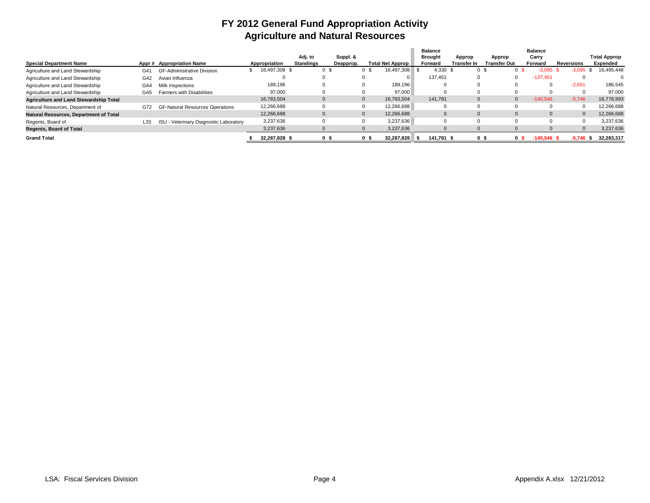### **FY 2012 General Fund Appropriation Activity Agriculture and Natural Resources**

|                                               |                 |                                        |               |                  |           |              |                  | <b>Balance</b> |              |              | <b>Balance</b> |            |                     |
|-----------------------------------------------|-----------------|----------------------------------------|---------------|------------------|-----------|--------------|------------------|----------------|--------------|--------------|----------------|------------|---------------------|
|                                               |                 |                                        |               | Adj. to          | Suppl. &  |              |                  | <b>Brought</b> | Approp       | Approp       | Carry          |            | <b>Total Approp</b> |
| <b>Special Department Name</b>                |                 | Appr# Appropriation Name               | Appropriation | <b>Standings</b> | Deapprop. |              | Total Net Approp | Forward        | Transfer Ir  | Transfer Out | Forward        | Reversions | Expended            |
| Agriculture and Land Stewardship              | G41             | <b>GF-Administrative Division</b>      | 16,497,308 \$ |                  |           | o s          | 16,497,308       | 4,330 \$       | 05           |              |                |            | 16,495,448          |
| Agriculture and Land Stewardship              | G42             | Avian Influenza                        |               |                  |           |              |                  | 137.451        | $\Omega$     |              | $-137.451$     |            |                     |
| Agriculture and Land Stewardship              | GA4             | Milk Inspections                       | 189,196       |                  |           |              | 189,196          |                |              |              |                | $-2,651$   | 186.545             |
| Agriculture and Land Stewardship              | GA <sub>5</sub> | <b>Farmers with Disabilities</b>       | 97,000        |                  |           | 0            | 97.000           |                |              |              |                |            | 97.000              |
| <b>Agriculture and Land Stewardship Total</b> |                 |                                        | 16,783,504    |                  |           | $\mathbf{0}$ | 16.783.504       | 141.781        | $\mathbf{0}$ |              | $-140.546$     | $-5.746$   | 16,778,993          |
| Natural Resources, Department of              | G72             | <b>GF-Natural Resources Operations</b> | 12,266,688    |                  |           |              | 12.266.688       |                |              |              |                |            | 12,266,688          |
| Natural Resources, Department of Total        |                 |                                        | 12,266,688    |                  |           |              | 12.266.688       | $\Omega$       | $\Omega$     |              |                |            | 12,266,688          |
| Regents, Board of                             | L33             | ISU - Veterinary Diagnostic Laboratory | 3.237.636     |                  |           | $\Omega$     | 3,237,636        |                |              |              |                |            | 3,237,636           |
| <b>Regents, Board of Total</b>                |                 |                                        | 3,237,636     |                  |           |              | 3,237,636        |                |              |              |                |            | 3,237,636           |
| <b>Grand Total</b>                            |                 |                                        | 32.287.828 \$ |                  |           | o s          | 32,287,828       | 141.781        | os           | 0 S          | $-140.546$ \$  | -5.746     | 32,283,317          |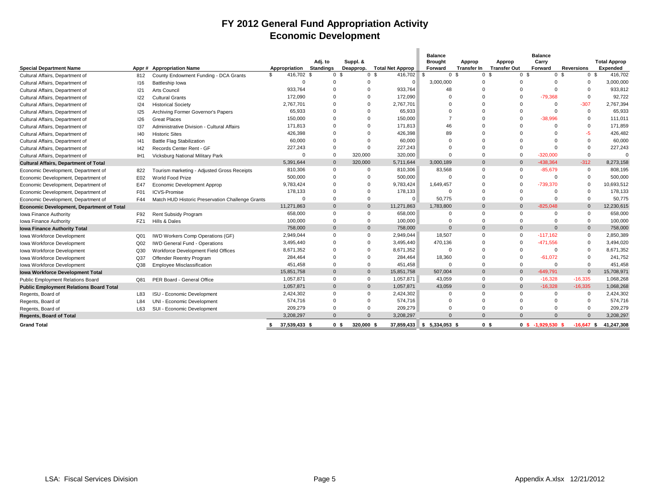### **FY 2012 General Fund Appropriation Activity Economic Development**

| <b>Special Department Name</b>                 |                 | Appr # Appropriation Name                        | Appropriation    | Adj. to<br><b>Standings</b> | Suppl. &<br>Deapprop.        | <b>Total Net Approp</b>   | <b>Balance</b><br><b>Brought</b><br>Forward | Approp<br><b>Transfer In</b> | Approp<br><b>Transfer Out</b> | <b>Balance</b><br>Carry<br>Forward | <b>Reversions</b> | <b>Total Approp</b><br><b>Expended</b> |
|------------------------------------------------|-----------------|--------------------------------------------------|------------------|-----------------------------|------------------------------|---------------------------|---------------------------------------------|------------------------------|-------------------------------|------------------------------------|-------------------|----------------------------------------|
| Cultural Affairs, Department of                | 812             | County Endowment Funding - DCA Grants            | 416.702 \$<br>\$ | 0 <sup>5</sup>              |                              | 0 <sup>5</sup><br>416.702 | \$                                          | 0 <sup>5</sup>               | 0 <sup>5</sup>                | 0 <sup>5</sup><br>0 <sup>5</sup>   | 0 <sup>5</sup>    | 416.702                                |
| Cultural Affairs, Department of                | 116             | Battleship Iowa                                  | $\Omega$         | $\Omega$                    |                              | $\Omega$<br>$\Omega$      | 3,000,000                                   | $\Omega$                     | $\Omega$                      | $\Omega$                           | $\Omega$          | 3,000,000                              |
| Cultural Affairs, Department of                | 121             | <b>Arts Council</b>                              | 933,764          | $\mathbf 0$                 |                              | 933,764<br>$\Omega$       | 48                                          | $\Omega$                     | $\Omega$                      | $\Omega$                           | $\Omega$          | 933,812                                |
| Cultural Affairs, Department of                | 122             | <b>Cultural Grants</b>                           | 172,090          | $\Omega$                    |                              | 172,090<br>$\Omega$       |                                             |                              | $\Omega$                      | $-79.368$                          | $\Omega$          | 92,722                                 |
| Cultural Affairs, Department of                | 124             | <b>Historical Society</b>                        | 2,767,701        | $\Omega$                    |                              | 2,767,701<br>$\Omega$     |                                             |                              | $\Omega$                      | $\Omega$                           | $-307$            | 2,767,394                              |
| Cultural Affairs, Department of                | 125             | Archiving Former Governor's Papers               | 65,933           | $\Omega$                    |                              | 65,933<br>$\Omega$        |                                             | n                            | $\Omega$                      | $\Omega$                           | $\mathbf 0$       | 65.933                                 |
| Cultural Affairs, Department of                | 126             | <b>Great Places</b>                              | 150,000          | $\Omega$                    |                              | 150,000<br>$\Omega$       | 7                                           | n                            | $\Omega$                      | $-38.996$                          | $\Omega$          | 111.011                                |
| Cultural Affairs, Department of                | 137             | Administrative Division - Cultural Affairs       | 171,813          | $\Omega$                    |                              | 171,813                   | 46                                          |                              | $\Omega$                      | $\Omega$                           |                   | 171.859                                |
| Cultural Affairs, Department of                | 40              | <b>Historic Sites</b>                            | 426,398          | $\Omega$                    |                              | 426,398                   | 89                                          |                              | $\Omega$                      | $\Omega$                           | $-5$              | 426,482                                |
| Cultural Affairs, Department of                | 41              | <b>Battle Flag Stabilization</b>                 | 60,000           | $\Omega$                    |                              | 60,000                    |                                             |                              | $\Omega$                      | $\Omega$                           | $\Omega$          | 60,000                                 |
| Cultural Affairs, Department of                | 42              | Records Center Rent - GF                         | 227,243          | $\Omega$                    |                              | 227,243<br>$\Omega$       |                                             |                              | $\Omega$                      | $\Omega$                           | $\Omega$          | 227,243                                |
| Cultural Affairs, Department of                | IH <sub>1</sub> | Vicksburg National Military Park                 | $\Omega$         | $\overline{0}$              | 320,000                      | 320,000                   |                                             | $\Omega$                     | $\Omega$                      | $-320.000$                         | $\Omega$          | $\mathbf 0$                            |
| <b>Cultural Affairs, Department of Total</b>   |                 |                                                  | 5,391,644        | $\Omega$                    | 320,000                      | 5,711,644                 | 3.000.189                                   | $\Omega$                     | $\Omega$                      | -438.364                           | $-312$            | 8,273,158                              |
| Economic Development, Department of            | 822             | Tourism marketing - Adjusted Gross Receipts      | 810.306          | $\mathbf 0$                 |                              | 810,306<br>$\Omega$       | 83,568                                      | $\Omega$                     | $\Omega$                      | $-85.679$                          | $\Omega$          | 808.195                                |
| Economic Development, Department of            | E02             | World Food Prize                                 | 500,000          | $\Omega$                    |                              | 500,000<br>$\Omega$       | $\Omega$                                    | $\Omega$                     | $\Omega$                      | $\Omega$                           | $\Omega$          | 500,000                                |
| Economic Development, Department of            | E47             | Economic Development Approp                      | 9,783,424        | $\Omega$                    |                              | $\Omega$<br>9,783,424     | 1,649,457                                   | $\Omega$                     | $\Omega$                      | -739,370                           |                   | 10,693,512                             |
| Economic Development, Department of            | F01             | <b>ICVS-Promise</b>                              | 178,133          | $\Omega$                    |                              | 178,133<br>$\Omega$       | $\Omega$                                    | $\Omega$                     | $\Omega$                      | $\Omega$                           | $\Omega$          | 178,133                                |
| Economic Development, Department of            | F44             | Match HUD Historic Preservation Challenge Grants | $\Omega$         | $\Omega$                    |                              | $\Omega$<br>$\mathbf 0$   | 50,775                                      | $\Omega$                     | $\Omega$                      | $\Omega$                           | $\Omega$          | 50.775                                 |
| Economic Development, Department of Total      |                 |                                                  | 11,271,863       | $\mathbf{0}$                |                              | $\Omega$<br>11,271,863    | 1,783,800                                   | $\Omega$                     | $\Omega$                      | $-825.048$                         | $\Omega$          | 12,230,615                             |
| Iowa Finance Authority                         | F92             | Rent Subsidy Program                             | 658.000          | $\mathbf 0$                 |                              | 658,000<br>$\Omega$       | $\Omega$                                    | $\Omega$                     | $\Omega$                      | $\Omega$                           | $\Omega$          | 658.000                                |
| Iowa Finance Authority                         | FZ <sub>1</sub> | Hills & Dales                                    | 100,000          | $\Omega$                    |                              | 100,000<br>$\Omega$       | $\Omega$                                    | $\Omega$                     | $\Omega$                      | $\Omega$                           | $\Omega$          | 100,000                                |
| <b>Iowa Finance Authority Total</b>            |                 |                                                  | 758,000          | $\mathbf{0}$                |                              | $\Omega$<br>758,000       | $\Omega$                                    | $\Omega$                     | $\Omega$                      | $\Omega$                           | $\mathbf{0}$      | 758,000                                |
| Iowa Workforce Development                     | Q <sub>01</sub> | IWD Workers Comp Operations (GF)                 | 2,949,044        | $\Omega$                    |                              | $\Omega$<br>2,949,044     | 18,507                                      | $\Omega$                     | $\Omega$                      | $-117.162$                         | $\Omega$          | 2,850,389                              |
| <b>Iowa Workforce Development</b>              | Q <sub>02</sub> | <b>IWD General Fund - Operations</b>             | 3,495,440        | $\Omega$                    |                              | 3,495,440<br>$\Omega$     | 470,136                                     | O                            | $\Omega$                      | $-471.556$                         | $\Omega$          | 3.494.020                              |
| <b>Iowa Workforce Development</b>              | Q30             | Workforce Development Field Offices              | 8,671,352        | $\Omega$                    |                              | $\Omega$<br>8,671,352     | $\Omega$                                    | O                            | $\Omega$                      | $\Omega$                           |                   | 8.671.352                              |
| Iowa Workforce Development                     | Q <sub>37</sub> | Offender Reentry Program                         | 284,464          | $\Omega$                    |                              | 284,464<br>$\Omega$       | 18,360                                      |                              | $\Omega$                      | $-61.072$                          |                   | 241.752                                |
| Iowa Workforce Development                     | Q38             | <b>Employee Misclassification</b>                | 451.458          | $\Omega$                    |                              | $\Omega$<br>451,458       | $\Omega$                                    | $\Omega$                     | $\Omega$                      | $\Omega$                           | $\Omega$          | 451.458                                |
| <b>Iowa Workforce Development Total</b>        |                 |                                                  | 15,851,758       | $\mathbf{0}$                |                              | $\Omega$<br>15,851,758    | 507,004                                     | $\Omega$                     | $\Omega$                      | $-649,791$                         | $\Omega$          | 15,708,971                             |
| Public Employment Relations Board              | Q81             | PER Board - General Office                       | 1,057,871        | $\mathbf 0$                 |                              | 1,057,871<br>$\mathbf 0$  | 43,059                                      | $\Omega$                     | $\mathbf 0$                   | $-16,328$                          | $-16,335$         | 1,068,268                              |
| <b>Public Employment Relations Board Total</b> |                 |                                                  | 1,057,871        | $\mathbf{0}$                |                              | $\Omega$<br>1,057,871     | 43,059                                      | $\Omega$                     | $\Omega$                      | $-16.328$                          | $-16.335$         | 1,068,268                              |
| Regents, Board of                              | L83             | ISU - Economic Development                       | 2,424,302        | $\mathbf 0$                 |                              | 2,424,302<br>$\Omega$     | $\Omega$                                    | $\Omega$                     | $\Omega$                      | $\mathbf 0$                        | $\Omega$          | 2,424,302                              |
| Regents, Board of                              | L84             | UNI - Economic Development                       | 574,716          | $\Omega$                    |                              | 574,716<br>$\Omega$       | $\Omega$                                    | $\Omega$                     | $\Omega$                      | $\Omega$                           | $\Omega$          | 574,716                                |
| Regents, Board of                              | L63             | SUI - Economic Development                       | 209,279          | $\Omega$                    |                              | 209,279<br>$\Omega$       | $\Omega$                                    | $\Omega$                     | $\Omega$                      | $\Omega$                           | $\Omega$          | 209,279                                |
| <b>Regents, Board of Total</b>                 |                 |                                                  | 3.208.297        | $\Omega$                    |                              | 3,208,297<br>$\Omega$     |                                             | $\Omega$                     | $\Omega$                      | $\Omega$                           |                   | 3,208,297                              |
| <b>Grand Total</b>                             |                 |                                                  | 37,539,433 \$    |                             | 320,000 \$<br>0 <sup>5</sup> |                           | 37,859,433 \$ 5,334,053 \$                  |                              | 0 <sup>5</sup>                | $0$ \$ -1,929,530 \$               |                   | $-16,647$ \$ 41,247,308                |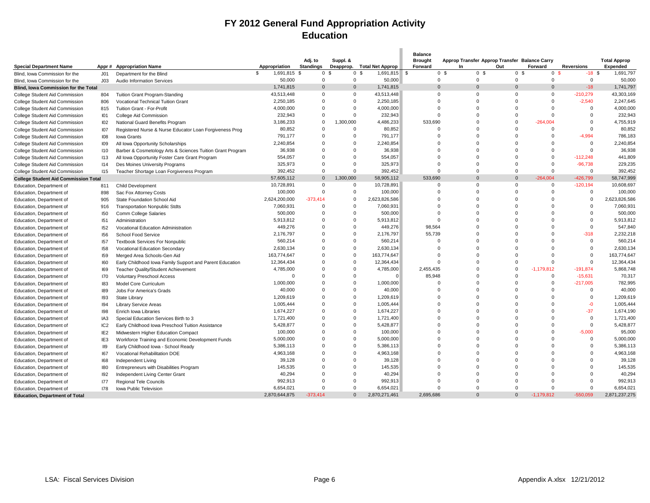### **FY 2012 General Fund Appropriation Activity Education**

|                                                      |                 |                                                            |                                |                      |                |                            | <b>Balance</b> |                                               |                      |                |                   |                     |
|------------------------------------------------------|-----------------|------------------------------------------------------------|--------------------------------|----------------------|----------------|----------------------------|----------------|-----------------------------------------------|----------------------|----------------|-------------------|---------------------|
|                                                      |                 |                                                            |                                | Adj. to              | Suppl. &       |                            | <b>Brought</b> | Approp Transfer Approp Transfer Balance Carry |                      |                |                   | <b>Total Approp</b> |
| <b>Special Department Name</b>                       |                 | Appr # Appropriation Name                                  | Appropriation                  | <b>Standings</b>     |                | Deapprop. Total Net Approp | Forward        | In                                            | Out                  | Forward        | <b>Reversions</b> | <b>Expended</b>     |
| Blind, Iowa Commission for the                       | J <sub>01</sub> | Department for the Blind                                   | $\mathfrak{s}$<br>1,691,815 \$ | 0 <sup>5</sup>       | 0 <sup>5</sup> | 1,691,815 \$               | 0 <sup>5</sup> | 0 <sup>5</sup>                                | 0 <sup>5</sup>       | 0 <sup>5</sup> | $-18S$            | 1,691,797           |
| Blind, Iowa Commission for the                       | JO3             | <b>Audio Information Services</b>                          | 50,000                         | $\Omega$             | $\Omega$       | 50,000                     | $\Omega$       | $\Omega$                                      | $\Omega$             | $\mathbf 0$    | $\mathbf{0}$      | 50,000              |
| Blind, Iowa Commission for the Total                 |                 |                                                            | 1,741,815                      | $\Omega$             | $\mathbf{0}$   | 1,741,815                  | $\Omega$       | $\Omega$                                      | $\Omega$             | $\overline{0}$ | $-18$             | 1,741,797           |
| College Student Aid Commission                       | 804             | Tuition Grant Program-Standing                             | 43,513,448                     | $\Omega$             | $\Omega$       | 43,513,448                 | $\Omega$       | $\Omega$                                      | $\Omega$             | $\Omega$       | $-210,279$        | 43,303,169          |
| College Student Aid Commission                       | 806             | Vocational Technical Tuition Grant                         | 2,250,185                      | $\Omega$             | $\Omega$       | 2,250,185                  | $\Omega$       | $\Omega$                                      | $\Omega$             | $\Omega$       | $-2,540$          | 2,247,645           |
| College Student Aid Commission                       | 815             | Tuition Grant - For-Profit                                 | 4,000,000                      | $\Omega$             | $\Omega$       | 4,000,000                  | $\Omega$       | $\Omega$                                      | $\Omega$             | $\Omega$       | $\Omega$          | 4,000,000           |
| College Student Aid Commission                       | <b>IO1</b>      | College Aid Commission                                     | 232,943                        | $\Omega$             | $\Omega$       | 232,943                    | $\mathbf 0$    | $\Omega$                                      | $\Omega$             | $\Omega$       | $\Omega$          | 232,943             |
| College Student Aid Commission                       | 102             | National Guard Benefits Program                            | 3,186,233                      | $\mathbf 0$          | 1,300,000      | 4,486,233                  | 533,690        | $\Omega$                                      | $\Omega$             | $-264,004$     | $\Omega$          | 4,755,919           |
| College Student Aid Commission                       | <b>107</b>      | Registered Nurse & Nurse Educator Loan Forgiveness Prog    | 80,852                         | $\Omega$             | $\mathbf 0$    | 80,852                     | $\mathbf 0$    | $\Omega$                                      | $\Omega$             | $\Omega$       | $\Omega$          | 80,852              |
| College Student Aid Commission                       | 108             | Iowa Grants                                                | 791,177                        | $\Omega$             | $\Omega$       | 791,177                    | 0              | $\Omega$                                      | $\Omega$             | $\Omega$       | $-4.994$          | 786,183             |
| College Student Aid Commission                       | 109             | All Iowa Opportunity Scholarships                          | 2,240,854                      | $\Omega$             | $\Omega$       | 2,240,854                  | $\Omega$       | $\Omega$                                      | $\Omega$             | $\Omega$       | $\Omega$          | 2,240,854           |
| College Student Aid Commission                       | 110             | Barber & Cosmetology Arts & Sciences Tuition Grant Program | 36,938                         | $\Omega$             | $\Omega$       | 36,938                     | $\Omega$       | $\Omega$                                      | $\Omega$             | $\Omega$       | $\Omega$          | 36,938              |
| College Student Aid Commission                       | 113             | All Iowa Opportunity Foster Care Grant Program             | 554,057                        | $\Omega$             | $\Omega$       | 554,057                    | $\Omega$       | $\Omega$                                      | $\Omega$             | $\Omega$       | $-112,248$        | 441,809             |
| College Student Aid Commission                       | 114             | Des Moines University Programs                             | 325,973                        | $\Omega$             | $\Omega$       | 325,973                    | $\Omega$       | $\Omega$                                      | $\Omega$             | $\Omega$       | $-96,738$         | 229,235             |
| College Student Aid Commission                       | 115             | Teacher Shortage Loan Forgiveness Program                  | 392,452                        | $\Omega$             | $\Omega$       | 392,452                    | $\Omega$       | $\Omega$                                      | $\Omega$             | $\Omega$       | $\Omega$          | 392,452             |
| <b>College Student Aid Commission Total</b>          |                 |                                                            | 57,605,112                     | $\mathbf{0}$         | 1,300,000      | 58,905,112                 | 533,690        | $\Omega$                                      | $\Omega$             | $-264,004$     | $-426,799$        | 58,747,999          |
| Education, Department of                             | 811             | <b>Child Development</b>                                   | 10,728,891                     | $\Omega$             | $\mathbf 0$    | 10,728,891                 | 0              | $\Omega$                                      | $\Omega$             | $\overline{0}$ | $-120,194$        | 10,608,697          |
| Education, Department of                             | 898             | Sac Fox Attorney Costs                                     | 100,000                        | $\overline{0}$       | $\mathbf 0$    | 100,000                    | $\Omega$       | $\Omega$                                      | $\Omega$             | $\overline{0}$ | $\mathbf 0$       | 100,000             |
| Education, Department of                             | 905             | State Foundation School Aid                                | 2,624,200,000                  | $-373,414$           | $\mathbf 0$    | 2,623,826,586              | $\Omega$       | $\Omega$                                      | $\Omega$             | $\Omega$       | $\mathbf 0$       | 2,623,826,586       |
| Education, Department of                             | 916             | <b>Transportation Nonpublic Stdts</b>                      | 7,060,931                      | $\Omega$             | 0              | 7,060,931                  | $\Omega$       | $\Omega$                                      | $\Omega$             | $\Omega$       | $\Omega$          | 7,060,931           |
| Education, Department of                             | 150             | Comm College Salaries                                      | 500,000                        | $\Omega$             | $\Omega$       | 500,000                    | $\Omega$       | $\Omega$                                      | $\Omega$             | $\Omega$       | $\Omega$          | 500,000             |
| Education, Department of                             | 151             | Administration                                             | 5,913,812                      | $\mathbf 0$          | $\mathbf 0$    | 5,913,812                  | $\mathbf 0$    | $\Omega$                                      | $\Omega$             | $\Omega$       | $\Omega$          | 5,913,812           |
| Education, Department of                             | 152             | Vocational Education Administration                        | 449,276                        | $\Omega$             | $\Omega$       | 449,276                    | 98,564         | $\Omega$                                      | $\Omega$             | $\Omega$       | $\Omega$          | 547,840             |
| Education, Department of                             | 156             | School Food Service                                        | 2,176,797                      | $\Omega$             | $\Omega$       | 2,176,797                  | 55,739         | $\Omega$                                      | $\Omega$             | $\Omega$       | $-318$            | 2,232,218           |
| Education, Department of                             | 157             | <b>Textbook Services For Nonpublic</b>                     | 560,214                        | $\Omega$             | $\Omega$       | 560,214                    | $\Omega$       | $\Omega$                                      | $\Omega$             | $\Omega$       | $\Omega$          | 560,214             |
| Education, Department of                             | 158             | Vocational Education Secondary                             | 2,630,134                      | $\Omega$             | $\Omega$       | 2,630,134                  | $\Omega$       | $\Omega$                                      | $\Omega$             | $\Omega$       | $\Omega$          | 2,630,134           |
| Education, Department of                             | <b>159</b>      | Merged Area Schools-Gen Aid                                | 163,774,647                    | $\Omega$             | $\Omega$       | 163,774,647                | $\Omega$       | $\Omega$                                      | $\Omega$             | $\Omega$       | $\Omega$          | 163,774,647         |
| Education, Department of                             | 160             | Early Childhood Iowa Family Support and Parent Education   | 12,364,434                     | $\Omega$             | $\Omega$       | 12,364,434                 | $\Omega$       | $\Omega$                                      | $\Omega$             | $\Omega$       | $\Omega$          | 12,364,434          |
| Education, Department of                             | 169             | Teacher Quality/Student Achievement                        | 4,785,000                      | $\Omega$             | $\Omega$       | 4,785,000                  | 2,455,435      | $\Omega$                                      | $\Omega$             | $-1,179,812$   | $-191,874$        | 5,868,748           |
| Education, Department of                             | 170             | <b>Voluntary Preschool Access</b>                          | $\Omega$                       | $\Omega$             | $\Omega$       | ſ                          | 85,948         | $\Omega$                                      | $\Omega$             | $\Omega$       | $-15,631$         | 70,317              |
|                                                      | 183             | Model Core Curriculum                                      | 1,000,000                      | $\Omega$             | $\Omega$       | 1,000,000                  | $\Omega$       | $\Omega$                                      | $\Omega$             | $\Omega$       | $-217,005$        | 782,995             |
| Education, Department of<br>Education, Department of | 189             | Jobs For America's Grads                                   | 40,000                         | $\Omega$             | $\Omega$       | 40,000                     | $\Omega$       | $\Omega$                                      | $\Omega$             | $\Omega$       | $\Omega$          | 40,000              |
| Education, Department of                             | 193             | State Library                                              | 1,209,619                      | $\Omega$             | $\Omega$       | 1,209,619                  | $\Omega$       | $\Omega$                                      | $\Omega$             | $\Omega$       | $\Omega$          | 1,209,619           |
|                                                      | 194             |                                                            | 1,005,444                      | $\Omega$             | $\Omega$       | 1,005,444                  | $\Omega$       | $\Omega$                                      | $\Omega$             | $\Omega$       | $-0$              | 1,005,444           |
| Education, Department of<br>Education, Department of | 198             | <b>Library Service Areas</b><br>Enrich Iowa Libraries      | 1,674,227                      | $\Omega$             | $\Omega$       | 1,674,227                  | $\Omega$       | $\Omega$                                      | $\Omega$             | $\Omega$       | $-37$             | 1,674,190           |
|                                                      | IA <sub>3</sub> |                                                            | 1,721,400                      | $\Omega$             | $\Omega$       | 1,721,400                  | $\Omega$       | $\Omega$                                      | $\Omega$             | $\Omega$       | $\Omega$          | 1,721,400           |
| Education, Department of                             |                 | Special Education Services Birth to 3                      | 5,428,877                      | $\Omega$             | $\Omega$       | 5,428,877                  | $\Omega$       | $\Omega$                                      | $\Omega$             | $\Omega$       | $\Omega$          | 5,428,877           |
| Education, Department of                             | IC <sub>2</sub> | Early Childhood Iowa Preschool Tuition Assistance          | 100,000                        | $\Omega$             | $\Omega$       | 100,000                    | $\Omega$       | $\Omega$                                      | $\Omega$             | $\Omega$       | $-5,000$          | 95,000              |
| Education, Department of                             | IE <sub>2</sub> | Midwestern Higher Education Compact                        | 5,000,000                      | $\Omega$             | $\Omega$       | 5,000,000                  | $\Omega$       | $\Omega$                                      | $\Omega$             | $\Omega$       | $\Omega$          | 5,000,000           |
| Education, Department of                             | IE <sub>3</sub> | Workforce Training and Economic Development Funds          | 5,386,113                      | $\Omega$             | $\Omega$       | 5,386,113                  | $\Omega$       | $\Omega$                                      | $\Omega$             | $\Omega$       | $\Omega$          | 5,386,113           |
| Education, Department of                             | II9             | Early Childhood Iowa - School Ready                        | 4,963,168                      | $\Omega$             | $\Omega$       | 4,963,168                  | $\Omega$       | $\Omega$                                      | $\Omega$             | $\Omega$       | $\Omega$          | 4,963,168           |
| Education, Department of                             | 167             | Vocational Rehabilitation DOE                              |                                | $\Omega$             | $\Omega$       |                            | $\Omega$       | $\Omega$                                      | $\Omega$             | $\Omega$       |                   |                     |
| Education, Department of                             | 168             | Independent Living                                         | 39,128<br>145,535              | $\Omega$             | $\Omega$       | 39,128                     | $\Omega$       | $\Omega$                                      | $\Omega$             | $\Omega$       |                   | 39,128              |
| Education, Department of                             | 180             | Entrepreneurs with Disabilities Program                    |                                | $\Omega$             | $\Omega$       | 145,535                    | $\Omega$       | $\Omega$                                      | $\Omega$             | $\Omega$       |                   | 145,535             |
| Education, Department of                             | 192             | Independent Living Center Grant                            | 40,294                         |                      | $\Omega$       | 40,294                     | $\Omega$       | $\Omega$                                      |                      | $\Omega$       |                   | 40,294              |
| Education, Department of                             | 177             | Regional Tele Councils                                     | 992,913                        | $\Omega$<br>$\Omega$ | $\Omega$       | 992,913                    | $\Omega$       | $\Omega$                                      | $\Omega$<br>$\Omega$ | $\Omega$       | $\Omega$          | 992,913             |
| Education, Department of                             | 178             | Iowa Public Television                                     | 6,654,021                      |                      |                | 6,654,021                  |                | $\Omega$                                      |                      |                |                   | 6,654,021           |
| <b>Education, Department of Total</b>                |                 |                                                            | 2,870,644,875                  | $-373.414$           | $\Omega$       | 2,870,271,461              | 2.695.686      |                                               | $\Omega$             | $-1.179.812$   | $-550.059$        | 2,871,237,275       |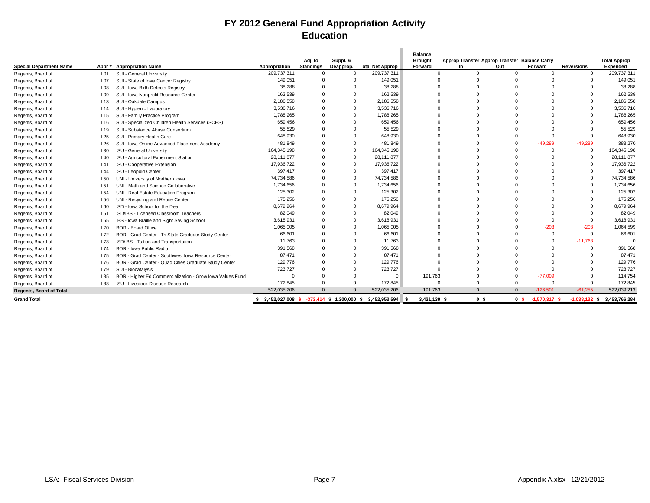### **FY 2012 General Fund Appropriation Activity Education**

|                                |                 |                                                           |               |                  |           |                                                         | <b>Balance</b>       |                                               |                |                 |                   |                             |
|--------------------------------|-----------------|-----------------------------------------------------------|---------------|------------------|-----------|---------------------------------------------------------|----------------------|-----------------------------------------------|----------------|-----------------|-------------------|-----------------------------|
|                                |                 |                                                           |               | Adj. to          | Suppl. &  |                                                         | <b>Brought</b>       | Approp Transfer Approp Transfer Balance Carry |                |                 |                   | <b>Total Approp</b>         |
| <b>Special Department Name</b> | Appr #          | <b>Appropriation Name</b>                                 | Appropriation | <b>Standings</b> | Deapprop. | <b>Total Net Approp</b>                                 | Forward              | In                                            | Out            | Forward         | <b>Reversions</b> | Expended                    |
| Regents, Board of              | L01             | SUI - General University                                  | 209,737,311   | $\Omega$         | $\Omega$  | 209,737,311                                             | $\Omega$             | $\overline{0}$                                | $\Omega$       | $\Omega$        | $\Omega$          | 209,737,311                 |
| Regents, Board of              | L07             | SUI - State of Iowa Cancer Registry                       | 149,051       |                  |           | 149,051                                                 | $\Omega$             | $\Omega$                                      |                | $\Omega$        |                   | 149,051                     |
| Regents, Board of              | L08             | SUI - Iowa Birth Defects Registry                         | 38,288        |                  |           | 38,288                                                  |                      | $\Omega$                                      |                |                 |                   | 38,288                      |
| Regents, Board of              | L <sub>09</sub> | SUI - Iowa Nonprofit Resource Center                      | 162,539       |                  |           | 162,539                                                 |                      | $\Omega$                                      |                |                 |                   | 162,539                     |
| Regents, Board of              | L <sub>13</sub> | SUI - Oakdale Campus                                      | 2,186,558     |                  | $\Omega$  | 2,186,558                                               |                      | $\Omega$                                      |                | $\Omega$        |                   | 2,186,558                   |
| Regents, Board of              | L14             | SUI - Hygienic Laboratory                                 | 3,536,716     |                  | $\Omega$  | 3,536,716                                               | $\Omega$             | $\Omega$                                      |                | $\Omega$        |                   | 3,536,716                   |
| Regents, Board of              | L <sub>15</sub> | SUI - Family Practice Program                             | 1,788,265     |                  | $\Omega$  | 1,788,265                                               | $\Omega$             | $\Omega$                                      |                | $\Omega$        |                   | 1,788,265                   |
| Regents, Board of              | L16             | SUI - Specialized Children Health Services (SCHS)         | 659,456       |                  |           | 659,456                                                 | $\Omega$             | $\Omega$                                      |                | $\Omega$        |                   | 659,456                     |
| Regents, Board of              | L <sub>19</sub> | SUI - Substance Abuse Consortium                          | 55,529        |                  |           | 55,529                                                  | $\Omega$             | $\Omega$                                      |                | - 0             |                   | 55,529                      |
| Regents, Board of              | L25             | SUI - Primary Health Care                                 | 648,930       |                  |           | 648,930                                                 |                      | $\Omega$                                      |                | $\Omega$        |                   | 648,930                     |
| Regents, Board of              | L26             | SUI - Iowa Online Advanced Placement Academy              | 481,849       |                  | $\Omega$  | 481,849                                                 |                      | $\Omega$                                      |                | $-49,289$       | $-49,289$         | 383,270                     |
| Regents, Board of              | L30             | <b>ISU - General University</b>                           | 164,345,198   |                  | $\Omega$  | 164,345,198                                             |                      | $\Omega$                                      |                | - 0             | $\mathbf{0}$      | 164,345,198                 |
| Regents, Board of              | L40             | <b>ISU - Agricultural Experiment Station</b>              | 28.111.877    |                  | $\Omega$  | 28.111.877                                              |                      | $\Omega$                                      |                | $\Omega$        | $\Omega$          | 28.111.877                  |
| Regents, Board of              | L41             | <b>ISU - Cooperative Extension</b>                        | 17,936,722    |                  | $\Omega$  | 17,936,722                                              |                      | $\Omega$                                      |                | $\Omega$        | $\Omega$          | 17,936,722                  |
| Regents, Board of              | L44             | ISU - Leopold Center                                      | 397,417       | $\Omega$         | $\Omega$  | 397,417                                                 | $\Omega$             | $\Omega$                                      |                | $\Omega$        | $\Omega$          | 397,417                     |
| Regents, Board of              | L50             | UNI - University of Northern Iowa                         | 74,734,586    |                  | $\Omega$  | 74,734,586                                              |                      | $\Omega$                                      |                | $\Omega$        | $\Omega$          | 74,734,586                  |
| Regents, Board of              | L51             | UNI - Math and Science Collaborative                      | 1,734,656     |                  | $\Omega$  | 1,734,656                                               | $\Omega$             | $\Omega$                                      |                | $\Omega$        |                   | 1,734,656                   |
| Regents, Board of              | L <sub>54</sub> | UNI - Real Estate Education Program                       | 125,302       |                  |           | 125,302                                                 | $\Omega$             | $\Omega$                                      |                | $\Omega$        |                   | 125,302                     |
| Regents, Board of              | L56             | UNI - Recycling and Reuse Center                          | 175,256       | $\Omega$         |           | 175,256                                                 | $\Omega$             | $\Omega$                                      |                | $\Omega$        |                   | 175,256                     |
| Regents, Board of              | L60             | ISD - Iowa School for the Deaf                            | 8,679,964     |                  | $\Omega$  | 8,679,964                                               |                      | $\Omega$                                      |                | $\Omega$        |                   | 8,679,964                   |
| Regents, Board of              | L61             | ISD/IBS - Licensed Classroom Teachers                     | 82,049        |                  |           | 82,049                                                  | $\Omega$             | $\Omega$                                      |                | $\Omega$        |                   | 82,049                      |
| Regents, Board of              | L65             | IBS - Iowa Braille and Sight Saving School                | 3,618,931     |                  | $\Omega$  | 3,618,931                                               |                      | $\Omega$                                      |                | $\Omega$        | $\Omega$          | 3,618,931                   |
| Regents, Board of              | L70             | <b>BOR - Board Office</b>                                 | 1.065.005     |                  | $\Omega$  | 1,065,005                                               |                      | $\Omega$                                      |                | $-203$          | $-203$            | 1.064.599                   |
| Regents, Board of              | L72             | BOR - Grad Center - Tri State Graduate Study Center       | 66,601        |                  |           | 66,601                                                  |                      | $\Omega$                                      |                | $^{\circ}$      | $\Omega$          | 66,601                      |
| Regents, Board of              | L73             | ISD/IBS - Tuition and Transportation                      | 11.763        |                  |           | 11,763                                                  |                      | $\Omega$                                      |                | $\Omega$        | $-11,763$         |                             |
| Regents, Board of              | L74             | <b>BOR - Iowa Public Radio</b>                            | 391.568       |                  |           | 391,568                                                 |                      | $\Omega$                                      |                | $\Omega$        |                   | 391,568                     |
| Regents, Board of              | L75             | BOR - Grad Center - Southwest Iowa Resource Center        | 87,471        |                  |           | 87,471                                                  |                      | $\Omega$                                      |                |                 |                   | 87,471                      |
| Regents, Board of              | L76             | BOR - Grad Center - Quad Cities Graduate Study Center     | 129,776       |                  |           | 129,776                                                 |                      |                                               |                |                 |                   | 129,776                     |
| Regents, Board of              | L79             | SUI - Biocatalysis                                        | 723,727       |                  |           | 723,727                                                 | $\Omega$             | $\Omega$                                      |                |                 |                   | 723,727                     |
| Regents, Board of              | L85             | BOR - Higher Ed Commercialization - Grow Iowa Values Fund |               |                  |           | $\Omega$                                                | 191,763              | $\Omega$                                      | $\Omega$       | $-77.009$       |                   | 114,754                     |
| Regents, Board of              | L88             | ISU - Livestock Disease Research                          | 172,845       |                  |           | 172,845                                                 | $\Omega$             | $\Omega$                                      | $\Omega$       | $\Omega$        | $\Omega$          | 172,845                     |
| <b>Regents, Board of Total</b> |                 |                                                           | 522,035,206   |                  |           | 522,035,206                                             | 191,763              |                                               | $\Omega$       | $-126.501$      | $-61.255$         | 522,039,213                 |
| <b>Grand Total</b>             |                 |                                                           |               |                  |           | 3,452,027,008 \$ -373,414 \$ 1,300,000 \$ 3,452,953,594 | 3,421,139 \$<br>- \$ | 0 <sup>5</sup>                                | 0 <sup>5</sup> | $-1,570,317$ \$ |                   | -1,038,132 \$ 3,453,766,284 |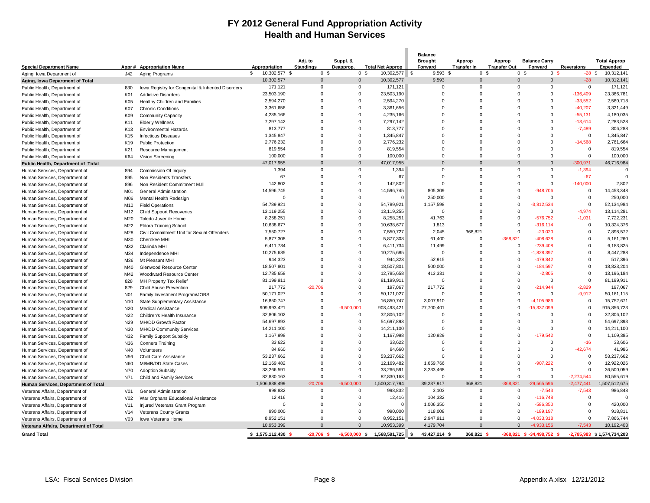### **FY 2012 General Fund Appropriation Activity Health and Human Services**

|                                       |                  |                                                    |                     |                  |                          |                         | <b>Balance</b>         |                    |                      |                                  |                   |                            |
|---------------------------------------|------------------|----------------------------------------------------|---------------------|------------------|--------------------------|-------------------------|------------------------|--------------------|----------------------|----------------------------------|-------------------|----------------------------|
|                                       |                  |                                                    |                     | Adj. to          | Suppl. &                 |                         | <b>Brought</b>         | Approp             | Approp               | <b>Balance Carry</b>             |                   | <b>Total Approp</b>        |
| <b>Special Department Name</b>        |                  | Appr # Appropriation Name                          | Appropriation       | <b>Standings</b> | Deapprop.                | <b>Total Net Approp</b> | Forward                | <b>Transfer In</b> | <b>Transfer Out</b>  | Forward                          | <b>Reversions</b> | <b>Expended</b>            |
| Aging, Iowa Department of             | J42              | Aging Programs                                     | \$<br>10,302,577 \$ | 0 <sup>5</sup>   | 0 <sup>5</sup>           | 10,302,577 \$           | $9,593$ \$             | 0 <sup>5</sup>     |                      | 0 <sup>5</sup><br>0 <sup>5</sup> | $-28$ \$          | 10,312,141                 |
| Aging, Iowa Department of Total       |                  |                                                    | 10,302,577          | $\overline{0}$   | $\overline{0}$           | 10,302,577              | 9,593                  | $\mathbf{0}$       | $\mathbf 0$          | $\mathbf{0}$                     | $-28$             | 10,312,141                 |
| Public Health, Department of          | 830              | lowa Registry for Congenital & Inherited Disorders | 171,121             | $\Omega$         | $\Omega$                 | 171,121                 | $\Omega$               | $\Omega$           | $\Omega$             | $\Omega$                         | $\Omega$          | 171,121                    |
| Public Health, Department of          | K01              | <b>Addictive Disorders</b>                         | 23,503,190          | $\Omega$         | $\Omega$                 | 23,503,190              | $\Omega$               | $\Omega$           | $\Omega$             | $\Omega$                         | $-136,409$        | 23,366,781                 |
| Public Health, Department of          | K05              | Healthy Children and Families                      | 2,594,270           | $\Omega$         | $\Omega$                 | 2,594,270               | $\Omega$               | $\mathbf 0$        | $\Omega$             | $\Omega$                         | $-33,552$         | 2,560,718                  |
| Public Health, Department of          | <b>K07</b>       | <b>Chronic Conditions</b>                          | 3,361,656           | $\Omega$         | $\Omega$                 | 3,361,656               | $\Omega$               | $\Omega$           | $\Omega$             | $\Omega$                         | $-40,207$         | 3,321,449                  |
| Public Health, Department of          | K09              | <b>Community Capacity</b>                          | 4,235,166           | $\Omega$         | $\Omega$                 | 4,235,166               | $\Omega$               | $\Omega$           | $\Omega$             | $\Omega$                         | $-55,131$         | 4,180,035                  |
| Public Health, Department of          | K11              | <b>Elderly Wellness</b>                            | 7,297,142           | $\Omega$         | $\Omega$                 | 7,297,142               | $\Omega$               | $\Omega$           | $\Omega$             | $\Omega$                         | $-13,614$         | 7,283,528                  |
| Public Health, Department of          | K <sub>13</sub>  | <b>Environmental Hazards</b>                       | 813,777             | $\Omega$         | $\Omega$                 | 813,777                 | $\Omega$               | $\Omega$           | $\Omega$             | $\Omega$                         | $-7,489$          | 806,288                    |
| Public Health, Department of          | K <sub>15</sub>  | <b>Infectious Diseases</b>                         | 1,345,847           | $\Omega$         | $\mathbf 0$              | 1,345,847               | $\Omega$               | $\mathbf 0$        | $\mathbf 0$          | $\Omega$                         | $\mathbf 0$       | 1,345,847                  |
| Public Health, Department of          | K19              | <b>Public Protection</b>                           | 2,776,232           | $\Omega$         | $\Omega$                 | 2,776,232               | $\Omega$               | $\Omega$           | $\Omega$             | $\Omega$                         | $-14,568$         | 2,761,664                  |
| Public Health, Department of          | K21              | Resource Management                                | 819,554             | $\Omega$         | $\Omega$                 | 819,554                 | $\Omega$               | $\Omega$           | $\Omega$             | $\Omega$                         | $\overline{0}$    | 819,554                    |
| Public Health, Department of          | K64              | Vision Screening                                   | 100,000             | $\mathbf 0$      | $\mathbf 0$              | 100,000                 | $\Omega$               | $\mathbf 0$        | $\mathbf 0$          | $\mathbf 0$                      | $\mathbf 0$       | 100,000                    |
| Public Health, Department of Total    |                  |                                                    | 47,017,955          | $\Omega$         | $\Omega$                 | 47,017,955              | $\Omega$               | $\mathbf{0}$       | $\Omega$             | $\Omega$                         | $-300,971$        | 46,716,984                 |
| Human Services, Department of         | 894              | Commission Of Inquiry                              | 1,394               | $\Omega$         | $\Omega$                 | 1,394                   | $\Omega$               | $\Omega$           | $\overline{0}$       | $\Omega$                         | $-1,394$          | $\Omega$                   |
| Human Services, Department of         | 895              | Non Residents Transfers                            | 67                  | $\Omega$         | $\Omega$                 | 67                      | $\Omega$               | $\mathbf 0$        | $\Omega$             | $\Omega$                         | $-67$             | $\Omega$                   |
| Human Services, Department of         | 896              | Non Resident Commitment M.III                      | 142,802             | $\Omega$         | $\Omega$                 | 142,802                 | $\Omega$               | $\Omega$           | $\Omega$             | $\Omega$                         | $-140,000$        | 2,802                      |
| Human Services, Department of         | M01              | General Administration                             | 14,596,745          | $\Omega$         | $\Omega$                 | 14,596,745              | 805.309                | $\Omega$           | $\Omega$             | $-948.706$                       | $\Omega$          | 14,453,348                 |
| Human Services, Department of         | M06              | Mental Health Redesign                             | $\mathbf 0$         | $\Omega$         | $\Omega$                 |                         | 250,000                | $\Omega$           | $\mathbf 0$          | $\mathbf 0$                      | $\Omega$          | 250,000                    |
| Human Services, Department of         | M10              | <b>Field Operations</b>                            | 54,789,921          | $\Omega$         | $\Omega$                 | 54,789,921              | 1,157,598              | $\mathbf 0$        | $\mathbf 0$          | $-3,812,534$                     | $\Omega$          | 52,134,984                 |
| Human Services, Department of         | M12              | <b>Child Support Recoveries</b>                    | 13,119,255          | $\Omega$         | $\Omega$                 | 13,119,255              | $\Omega$               | $\Omega$           | $\overline{0}$       | $\Omega$                         | $-4.974$          | 13,114,281                 |
| Human Services, Department of         | M20              | Toledo Juvenile Home                               | 8,258,251           | $\Omega$         | $\Omega$                 | 8,258,251               | 41,763                 | $\Omega$           | $\mathbf 0$          | $-576,752$                       | $-1,031$          | 7,722,231                  |
| Human Services, Department of         | M22              | Eldora Training School                             | 10,638,677          | $\Omega$         | $\Omega$                 | 10,638,677              | 1,813                  | $\Omega$           | $\mathbf 0$          | $-316, 114$                      | $\Omega$          | 10,324,376                 |
| Human Services, Department of         | M28              | Civil Commitment Unit for Sexual Offenders         | 7,550,727           | $\Omega$         | $\Omega$                 | 7,550,727               | 2,045                  | 368,821            | $\Omega$             | $-23,020$                        | $\Omega$          | 7,898,572                  |
| Human Services, Department of         | M30              | Cherokee MHI                                       | 5,877,308           | $\Omega$         | $\Omega$                 | 5,877,308               | 61,400                 | $\mathbf 0$        | $-368,821$           | $-408,628$                       | $\Omega$          | 5,161,260                  |
| Human Services, Department of         | M32              | Clarinda MHI                                       | 6,411,734           | $\Omega$         | $\Omega$                 | 6,411,734               | 11,499                 | $\Omega$           | $\mathbf 0$          | $-239,408$                       | $\Omega$          | 6,183,825                  |
| Human Services, Department of         | M34              | Independence MHI                                   | 10,275,685          | $\Omega$         | $\Omega$                 | 10,275,685              | $\Omega$               | $\mathbf 0$        | $\mathbf 0$          | -1,828,397                       | $\Omega$          | 8,447,288                  |
|                                       | M36              | Mt Pleasant MHI                                    | 944,323             | 0                | $\Omega$                 | 944,323                 | 52,915                 | $\mathbf 0$        | $\mathbf 0$          | $-479,842$                       | $\Omega$          | 517,396                    |
| Human Services, Department of         | M40              |                                                    | 18,507,801          | $\Omega$         | $\Omega$                 | 18,507,801              | 500,000                | $\Omega$           | $\Omega$             | $-184,597$                       | $\Omega$          | 18,823,204                 |
| Human Services, Department of         |                  | Glenwood Resource Center                           | 12,785,658          | $\Omega$         | $\Omega$                 | 12,785,658              | 413,331                | $\Omega$           | $\Omega$             | $-2,805$                         | $\Omega$          | 13,196,184                 |
| Human Services, Department of         | M42              | Woodward Resource Center                           | 81,199,911          | $\Omega$         | $\Omega$                 | 81,199,911              | $\Omega$               | $\mathbf 0$        | $\Omega$             | $\Omega$                         | $\mathbf 0$       | 81,199,911                 |
| Human Services, Department of         | 828              | MH Property Tax Relief                             | 217,772             | $-20.706$        | $\Omega$                 | 197,067                 | 217,772                | $\Omega$           | $\Omega$             | -214.944                         | $-2.829$          | 197,067                    |
| Human Services, Department of         | 829              | <b>Child Abuse Prevention</b>                      | 50,171,027          | $\mathbf 0$      | $\Omega$                 | 50,171,027              |                        | $\mathbf 0$        | $\mathbf 0$          | 0                                | $-9,912$          | 50,161,115                 |
| Human Services, Department of         | N <sub>0</sub> 1 | Family Investment Program/JOBS                     |                     | $\mathbf 0$      | $\Omega$                 |                         | 3,007,910              | $\Omega$           | $\mathbf 0$          | $-4,105,986$                     | $\mathbf 0$       | 15,752,671                 |
| Human Services, Department of         | N <sub>10</sub>  | State Supplementary Assistance                     | 16,850,747          | $\Omega$         |                          | 16,850,747              |                        | $\Omega$           | $\Omega$             |                                  | $\Omega$          |                            |
| Human Services, Department of         | N20              | <b>Medical Assistance</b>                          | 909,993,421         | $\mathbf 0$      | $-6,500,000$<br>$\Omega$ | 903,493,421             | 27,700,401<br>$\Omega$ | $\mathbf 0$        | $\overline{0}$       | $-15,337,099$                    | $\Omega$          | 915,856,723                |
| Human Services, Department of         | N22              | Children's Health Insurance                        | 32,806,102          |                  | $\Omega$                 | 32,806,102              |                        | $\Omega$           |                      | 0                                | $\Omega$          | 32,806,102                 |
| Human Services, Department of         | N29              | MH/DD Growth Factor                                | 54,697,893          | $\Omega$         | $\Omega$                 | 54,697,893              | $\Omega$               | $\Omega$           | $\Omega$<br>$\Omega$ | $\Omega$                         | $\Omega$          | 54,697,893                 |
| Human Services, Department of         | N30              | <b>MH/DD Community Services</b>                    | 14,211,100          | $\Omega$         |                          | 14,211,100              | $\Omega$               |                    |                      | $\Omega$                         |                   | 14,211,100                 |
| Human Services, Department of         | N32              | <b>Family Support Subsidy</b>                      | 1,167,998           | $\mathbf 0$      | $\Omega$                 | 1,167,998               | 120,929                | $\mathbf 0$        | $\mathbf 0$          | $-179,542$                       | $\overline{0}$    | 1,109,385                  |
| Human Services, Department of         | N36              | Conners Training                                   | 33,622              | $\Omega$         | $\Omega$                 | 33,622                  | $\Omega$               | $\Omega$           | $\Omega$             | $\Omega$                         | $-16$             | 33,606                     |
| Human Services, Department of         | N40              | Volunteers                                         | 84,660              | $\Omega$         | $\Omega$                 | 84,660                  | $\Omega$               | $\Omega$           | $\Omega$             | $\Omega$                         | $-42,674$         | 41,986                     |
| Human Services, Department of         | N <sub>56</sub>  | <b>Child Care Assistance</b>                       | 53,237,662          | $\mathbf 0$      | $\Omega$                 | 53,237,662              | $\Omega$               | $\mathbf 0$        | $\mathbf 0$          | $\Omega$                         | $\overline{0}$    | 53,237,662                 |
| Human Services, Department of         | N60              | MI/MR/DD State Cases                               | 12,169,482          | $\Omega$         | $\Omega$                 | 12,169,482              | 1,659,766              | $\Omega$           | $\Omega$             | $-907,222$                       | $\Omega$          | 12,922,026                 |
| Human Services, Department of         | N70              | <b>Adoption Subsidy</b>                            | 33,266,591          | $\Omega$         | $\Omega$                 | 33,266,591              | 3,233,468              | $\Omega$           | $\Omega$             | $\Omega$                         | $\Omega$          | 36,500,059                 |
| Human Services, Department of         | N71              | Child and Family Services                          | 82,830,163          | $\Omega$         | $\Omega$                 | 82,830,163              | $\Omega$               | $\Omega$           | $\Omega$             | $\Omega$                         | $-2,274,544$      | 80,555,619                 |
| Human Services, Department of Total   |                  |                                                    | 1,506,838,499       | $-20,706$        | $-6,500,000$             | 1,500,317,794           | 39,237,917             | 368,821            | $-368,821$           | 29,565,596                       | $-2,477,441$      | 1,507,512,675              |
| Veterans Affairs, Department of       | V01              | General Administration                             | 998,832             | $\mathbf 0$      | $\mathbf 0$              | 998,832                 | 3,103                  | $\mathbf 0$        | $\mathbf 0$          | $-7,543$                         | $-7,543$          | 986,848                    |
| Veterans Affairs, Department of       | V <sub>02</sub>  | War Orphans Educational Assistance                 | 12,416              | $\Omega$         | $\Omega$                 | 12,416                  | 104,332                | $\mathbf 0$        | $\mathbf 0$          | $-116,748$                       | $\overline{0}$    | $\Omega$                   |
| Veterans Affairs, Department of       | V <sub>11</sub>  | Injured Veterans Grant Program                     | $\Omega$            | $\Omega$         | $\Omega$                 |                         | 1,006,350              | $\Omega$           | $\overline{0}$       | $-586,350$                       | $\Omega$          | 420,000                    |
| Veterans Affairs, Department of       | V14              | <b>Veterans County Grants</b>                      | 990,000             | $\mathbf 0$      | $\Omega$                 | 990,000                 | 118,008                | $\mathbf 0$        | $\mathbf 0$          | $-189, 197$                      | $\mathbf 0$       | 918,811                    |
| Veterans Affairs, Department of       | V <sub>03</sub>  | Iowa Veterans Home                                 | 8,952,151           | $\Omega$         | $\Omega$                 | 8,952,151               | 2,947,911              | $\Omega$           | $\mathbf 0$          | $-4,033,318$                     | $\Omega$          | 7,866,744                  |
| Veterans Affairs, Department of Total |                  |                                                    | 10,953,399          | $\Omega$         | $\Omega$                 | 10,953,399              | 4,179,704              | $\Omega$           | $\Omega$             | $-4,933,156$                     | $-7,543$          | 10,192,403                 |
| <b>Grand Total</b>                    |                  |                                                    | \$1,575,112,430     | $-20.706 S$      | $-6.500.000 S$           | 1.568.591.725           | 43.427.214 \$<br>∣\$   | 368.821 \$         |                      | $-368.821$ \$ $-34.498.752$ \$   |                   | -2.785.983 \$1.574.734.203 |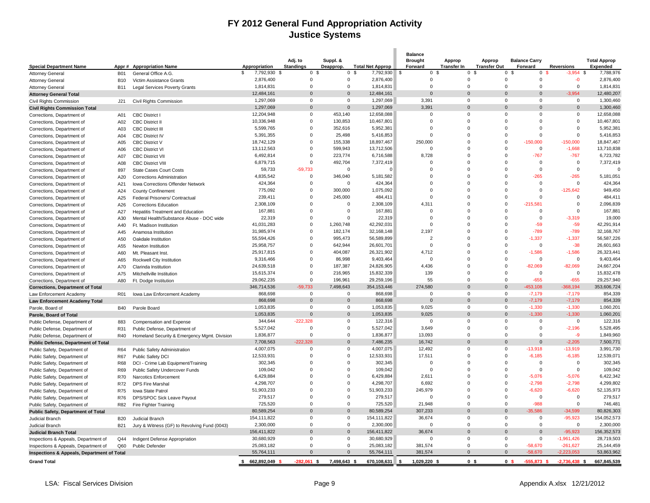### **FY 2012 General Fund Appropriation Activity Justice Systems**

|                                            |            |                                              |                    | Adj. to          | Suppl. &       |                         | <b>Balance</b><br><b>Brought</b> | Approp             | Approp              | <b>Balance Carry</b>          |                   | <b>Total Approp</b> |
|--------------------------------------------|------------|----------------------------------------------|--------------------|------------------|----------------|-------------------------|----------------------------------|--------------------|---------------------|-------------------------------|-------------------|---------------------|
| <b>Special Department Name</b>             |            | Appr # Appropriation Name                    | Appropriation      | <b>Standings</b> | Deapprop.      | <b>Total Net Approp</b> | Forward                          | <b>Transfer In</b> | <b>Transfer Out</b> | Forward                       | <b>Reversions</b> | Expended            |
| <b>Attorney General</b>                    | <b>B01</b> | General Office A.G.                          | \$<br>7,792,930 \$ | 0 <sup>5</sup>   | 0 <sup>5</sup> | 7,792,930 \$            | 0 <sup>5</sup>                   | 0                  | -9                  | $\mathbf 0$<br>ი \$           | $-3.954$ \$       | 7,788,976           |
| <b>Attorney General</b>                    | <b>B10</b> | Victim Assistance Grants                     | 2,876,400          | $\overline{0}$   | $\Omega$       | 2,876,400               | $\Omega$                         | $\Omega$           | $\Omega$            | $\Omega$                      | $-0$              | 2,876,400           |
| <b>Attorney General</b>                    | <b>B11</b> | <b>Legal Services Poverty Grants</b>         | 1,814,831          | $\mathbf 0$      | $\mathbf 0$    | 1,814,831               | $\mathbf 0$                      | $\mathbf 0$        | $\mathbf 0$         | $\mathbf 0$                   | $\mathbf 0$       | 1,814,831           |
| <b>Attorney General Total</b>              |            |                                              | 12,484,161         | $\Omega$         | $\Omega$       | 12,484,161              | $\Omega$                         | $\Omega$           | $\Omega$            | $\Omega$                      | $-3,954$          | 12,480,207          |
| Civil Rights Commission                    | J21        | Civil Rights Commission                      | 1,297,069          | $\mathbf 0$      | $\mathbf 0$    | 1,297,069               | 3,391                            | $\Omega$           | 0                   | $\Omega$                      | $\mathbf 0$       | 1,300,460           |
| <b>Civil Rights Commission Total</b>       |            |                                              | 1,297,069          | $\overline{0}$   | $\overline{0}$ | 1,297,069               | 3,391                            | $\mathbf 0$        | $\overline{0}$      | $\mathbf{0}$                  | $\Omega$          | 1,300,460           |
| Corrections, Department of                 | A01        | <b>CBC District I</b>                        | 12,204,948         | $\mathbf 0$      | 453,140        | 12,658,088              | $\mathbf 0$                      | $\mathsf 0$        | $\mathbf 0$         | $\mathbf 0$                   | $\mathbf 0$       | 12,658,088          |
| Corrections, Department of                 | A02        | <b>CBC District II</b>                       | 10,336,948         | $\mathbf 0$      | 130,853        | 10,467,801              | $\Omega$                         | $\Omega$           | $\Omega$            | $\Omega$                      | $\Omega$          | 10,467,801          |
| Corrections, Department of                 | A03        | <b>CBC District III</b>                      | 5,599,765          | $\Omega$         | 352,616        | 5,952,381               | $\Omega$                         | $\Omega$           | $\Omega$            | $\Omega$                      | $\Omega$          | 5,952,381           |
| Corrections, Department of                 | A04        | <b>CBC District IV</b>                       | 5,391,355          | $\Omega$         | 25,498         | 5,416,853               | $\Omega$                         | $\Omega$           | $\Omega$            | $\Omega$                      | $\Omega$          | 5,416,853           |
| Corrections, Department of                 | A05        | <b>CBC District V</b>                        | 18,742,129         | $\mathbf 0$      | 155,338        | 18,897,467              | 250,000                          | $\mathbf 0$        | $\mathbf 0$         | $-150,000$                    | $-150,000$        | 18,847,467          |
| Corrections, Department of                 | A06        | <b>CBC District VI</b>                       | 13,112,563         | $\Omega$         | 599,943        | 13,712,506              | $\Omega$                         | $\Omega$           | $\Omega$            | $\Omega$                      | $-1,668$          | 13,710,838          |
| Corrections, Department of                 | A07        | <b>CBC District VII</b>                      | 6,492,814          | $\mathbf 0$      | 223,774        | 6,716,588               | 8,728                            | $\Omega$           | $\Omega$            | $-767$                        | $-767$            | 6,723,782           |
| Corrections, Department of                 | A08        | <b>CBC District VIII</b>                     | 6,879,715          | $\overline{0}$   | 492,704        | 7,372,419               | $\mathbf 0$                      | 0                  | $\mathbf 0$         | $\mathbf 0$                   | $\mathbf 0$       | 7,372,419           |
| Corrections, Department of                 | 897        | State Cases Court Costs                      | 59,733             | $-59,733$        | $\mathbf 0$    |                         | $\mathbf 0$                      | $\mathbf 0$        | $\Omega$            | $\mathbf 0$                   | $\mathbf 0$       |                     |
| Corrections, Department of                 | A20        | Corrections Administration                   | 4,835,542          | $\overline{0}$   | 346,040        | 5,181,582               | $\Omega$                         | $\Omega$           | $\Omega$            | $-265$                        | $-265$            | 5,181,051           |
| Corrections, Department of                 | A21        | <b>Iowa Corrections Offender Network</b>     | 424,364            | $\Omega$         | $\Omega$       | 424,364                 | $\Omega$                         | $\Omega$           | $\Omega$            | $\Omega$                      | $\Omega$          | 424,364             |
| Corrections, Department of                 | A24        | <b>County Confinement</b>                    | 775,092            | $\overline{0}$   | 300,000        | 1,075,092               | $\Omega$                         | $\mathbf 0$        | $\Omega$            | $\mathbf 0$                   | $-125,642$        | 949,450             |
| Corrections, Department of                 | A25        | Federal Prisoners/ Contractual               | 239,411            | $\Omega$         | 245,000        | 484,411                 | $\Omega$                         | $\Omega$           | $\Omega$            | $\Omega$                      | $\Omega$          | 484,411             |
| Corrections, Department of                 | A26        | <b>Corrections Education</b>                 | 2,308,109          | $\Omega$         | $\Omega$       | 2,308,109               | 4,311                            | $\Omega$           | $\Omega$            | $-215.581$                    | $\Omega$          | 2,096,839           |
| Corrections, Department of                 | A27        | <b>Hepatitis Treatment and Education</b>     | 167,881            | $\Omega$         | $\mathbf 0$    | 167,881                 | $\Omega$                         | $\Omega$           | $\Omega$            | $\Omega$                      | $\Omega$          | 167,881             |
| Corrections, Department of                 | A30        | Mental Health/Substance Abuse - DOC wide     | 22,319             | $\overline{0}$   | $\mathbf 0$    | 22,319                  | $\Omega$                         | $\Omega$           | $\Omega$            | $\Omega$                      | $-3,319$          | 19,000              |
| Corrections, Department of                 | A40        | Ft. Madison Institution                      | 41,031,283         | $\Omega$         | 1,260,748      | 42,292,031              | $\Omega$                         | $\Omega$           | $\Omega$            | $-59$                         | $-59$             | 42,291,914          |
| Corrections, Department of                 | A45        | Anamosa Institution                          | 31,985,974         | $\Omega$         | 182,174        | 32,168,148              | 2,197                            | $\Omega$           | $\Omega$            | $-789$                        | $-789$            | 32,168,767          |
| Corrections, Department of                 | A50        | Oakdale Institution                          | 55,594,426         | $\mathbf 0$      | 995,473        | 56,589,899              | $\overline{2}$                   | $\Omega$           | $\Omega$            | $-1,337$                      | $-1,337$          | 56,587,226          |
| Corrections, Department of                 | A55        | Newton Institution                           | 25,958,757         | $\overline{0}$   | 642,944        | 26,601,701              | $\mathbf 0$                      | 0                  | $\mathbf 0$         | $\mathbf 0$                   | $-38$             | 26,601,663          |
| Corrections, Department of                 | A60        | Mt. Pleasant Inst.                           | 25,917,815         | $\Omega$         | 404,087        | 26,321,902              | 4,712                            | $\Omega$           | $\Omega$            | $-1,586$                      | $-1,586$          | 26,323,441          |
| Corrections, Department of                 | A65        | Rockwell City Institution                    | 9,316,466          | $\Omega$         | 86,998         | 9,403,464               | $\Omega$                         | 0                  | $\Omega$            | $\Omega$                      | $\mathbf 0$       | 9,403,464           |
| Corrections, Department of                 | A70        | Clarinda Institution                         | 24,639,518         | $\mathbf 0$      | 187,387        | 24,826,905              | 4,436                            | $\mathbf 0$        | $\mathbf 0$         | $-82,069$                     | $-82,069$         | 24,667,204          |
| Corrections, Department of                 | A75        | Mitchellville Institution                    | 15,615,374         | $\overline{0}$   | 216,965        | 15,832,339              | 139                              | $\mathbf 0$        | $\Omega$            | $\Omega$                      | $\mathbf 0$       | 15,832,478          |
|                                            | A80        | Ft. Dodge Institution                        | 29,062,235         | $\Omega$         | 196,961        | 29,259,196              | 55                               | $\mathbf 0$        | $\Omega$            | $-655$                        | $-655$            | 29,257,940          |
| Corrections, Department of                 |            |                                              | 346,714,536        | $-59.733$        | 7,498,643      | 354, 153, 446           | 274,580                          | $\Omega$           | $\Omega$            | $-453, 108$                   | $-368,194$        | 353,606,724         |
| <b>Corrections, Department of Total</b>    |            |                                              | 868,698            | $\overline{0}$   | $\mathbf 0$    | 868,698                 | $\Omega$                         | $\mathbf 0$        |                     | $\mathbf{0}$<br>$-7,179$      | $-7,179$          | 854,339             |
| Law Enforcement Academy                    | <b>R01</b> | Iowa Law Enforcement Academy                 | 868,698            | $\overline{0}$   | $\mathbf 0$    | 868,698                 | $\mathbf{0}$                     | $\mathbf{0}$       | $\mathbf{0}$        | $-7,179$                      | $-7,179$          | 854,339             |
| Law Enforcement Academy Total              |            |                                              | 1,053,835          | $\Omega$         | $\mathbf 0$    | 1,053,835               | 9.025                            | $\Omega$           | $\Omega$            | $-1.330$                      | $-1.330$          | 1.060.201           |
| Parole, Board of                           | <b>B40</b> | Parole Board                                 | 1,053,835          | $\Omega$         | $\mathbf{0}$   | 1,053,835               | 9,025                            | $\mathbf{0}$       | $\Omega$            | $-1,330$                      | $-1,330$          | 1,060,201           |
| Parole, Board of Total                     |            |                                              | 344,644            | $-222,328$       | $\mathbf 0$    | 122,316                 | $\mathbf 0$                      | $\mathbf 0$        | $\Omega$            | $\Omega$                      | $\mathbf 0$       | 122,316             |
| Public Defense, Department of              | 883        | Compensation and Expense                     |                    | $\overline{0}$   | $\mathbf 0$    |                         |                                  | 0                  | $\mathbf 0$         | $\mathbf 0$                   |                   |                     |
| Public Defense, Department of              | R31        | Public Defense, Department of                | 5,527,042          | $\Omega$         | $\mathbf 0$    | 5,527,042               | 3,649                            | $\mathbf 0$        | $\Omega$            | $\Omega$                      | $-2,196$<br>$-9$  | 5,528,495           |
| Public Defense, Department of              | R40        | Homeland Security & Emergency Mgmt. Division | 1,836,877          |                  |                | 1,836,877               | 13,093                           |                    |                     |                               |                   | 1,849,960           |
| <b>Public Defense, Department of Total</b> |            |                                              | 7,708,563          | $-222,328$       | $\mathbf{0}$   | 7,486,235               | 16,742                           | $\mathbf{0}$       | $\mathbf 0$         | $\mathbf{0}$                  | $-2,205$          | 7,500,771           |
| Public Safety, Department of               | R64        | Public Safety Administration                 | 4,007,075          | $\overline{0}$   | $\mathbf 0$    | 4,007,075               | 12,492                           | $\mathbf 0$        | $\mathbf 0$         | $-13,918$                     | $-13,919$         | 3,991,730           |
| Public Safety, Department of               | R67        | Public Safety DCI                            | 12,533,931         | $\overline{0}$   | $\mathsf 0$    | 12,533,931              | 17,511                           | $\Omega$           | $\Omega$            | $-6,185$                      | $-6,185$          | 12,539,071          |
| Public Safety, Department of               | R68        | DCI - Crime Lab Equipment/Training           | 302,345            | $\Omega$         | $\mathbf 0$    | 302,345                 | $\Omega$                         | $\Omega$           | $\Omega$            | $\Omega$                      | $\Omega$          | 302,345             |
| Public Safety, Department of               | R69        | Public Safety Undercover Funds               | 109,042            | $\overline{0}$   | $\mathbf 0$    | 109,042                 | $\Omega$                         | $\Omega$           | $\Omega$            | $\Omega$                      | $\Omega$          | 109,042             |
| Public Safety, Department of               | R70        | Narcotics Enforcement                        | 6,429,884          | $\Omega$         | $\mathbf 0$    | 6,429,884               | 2,611                            | $\Omega$           | $\Omega$            | $-5,076$                      | $-5,076$          | 6,422,342           |
| Public Safety, Department of               | R72        | <b>DPS Fire Marshal</b>                      | 4,298,707          | $\Omega$         | $\Omega$       | 4,298,707               | 6,692                            | $\Omega$           | $\Omega$            | $-2.798$                      | $-2.798$          | 4,299,802           |
| Public Safety, Department of               | <b>R75</b> | Iowa State Patrol                            | 51,903,233         | $\Omega$         | $\Omega$       | 51,903,233              | 245,979                          | $\Omega$           | $\Omega$            | $-6.620$                      | $-6,620$          | 52,135,973          |
| Public Safety, Department of               | R76        | DPS/SPOC Sick Leave Payout                   | 279,517            | $\mathbf 0$      | $\mathbf 0$    | 279,517                 | $\Omega$                         | $\Omega$           | $\Omega$            | $\Omega$                      | $\mathbf 0$       | 279,517             |
| Public Safety, Department of               | R82        | Fire Fighter Training                        | 725,520            | $\overline{0}$   | $\mathbf 0$    | 725,520                 | 21,948                           | $\mathbf 0$        | $\mathbf 0$         | $-988$                        | $\mathbf 0$       | 746,481             |
| Public Safety, Department of Total         |            |                                              | 80,589,254         | $\Omega$         | $\Omega$       | 80,589,254              | 307,233                          | $\Omega$           | $\Omega$            | $-35.586$                     | $-34.599$         | 80,826,303          |
| Judicial Branch                            | <b>B20</b> | Judicial Branch                              | 154,111,822        | $\mathbf 0$      | $\mathbf 0$    | 154,111,822             | 36,674                           | 0                  | 0                   | $\mathbf 0$                   | $-95,923$         | 154,052,573         |
| Judicial Branch                            | <b>B21</b> | Jury & Witness (GF) to Revolving Fund (0043) | 2,300,000          | $\Omega$         | $\mathbf 0$    | 2,300,000               | $\Omega$                         | $\mathsf 0$        | $\Omega$            | $\mathbf 0$                   | 0                 | 2,300,000           |
| <b>Judicial Branch Total</b>               |            |                                              | 156,411,822        | $\overline{0}$   | $\mathbf 0$    | 156,411,822             | 36,674                           | $\mathbf{0}$       | $\mathbf{0}$        | $\mathbf{0}$                  | $-95,923$         | 156,352,573         |
| Inspections & Appeals, Department of       | Q44        | Indigent Defense Appropriation               | 30,680,929         | $\Omega$         | $\mathbf 0$    | 30,680,929              | $\Omega$                         | $\mathbf 0$        | $\Omega$            | $\Omega$                      | $-1,961,426$      | 28,719,503          |
| Inspections & Appeals, Department of       | Q60        | Public Defender                              | 25,083,182         | $\Omega$         | $\mathbf 0$    | 25,083,182              | 381,574                          | $\Omega$           | $\Omega$            | $-58,670$                     | $-261,627$        | 25,144,459          |
| Inspections & Appeals, Department of Total |            |                                              | 55,764,111         | $\Omega$         | $\Omega$       | 55,764,111              | 381,574                          | $\Omega$           | $\Omega$            | $-58,670$                     | $-2,223,053$      | 53,863,962          |
| <b>Grand Total</b>                         |            |                                              | 662,892,049<br>\$  | $-282.061$ \$    | 7,498,643 \$   | 670,108,631             | 1,029,220 \$                     |                    | 0 <sup>5</sup>      | $-555.873S$<br>0 <sup>5</sup> | $-2.736,438$ \$   | 667,845,539         |